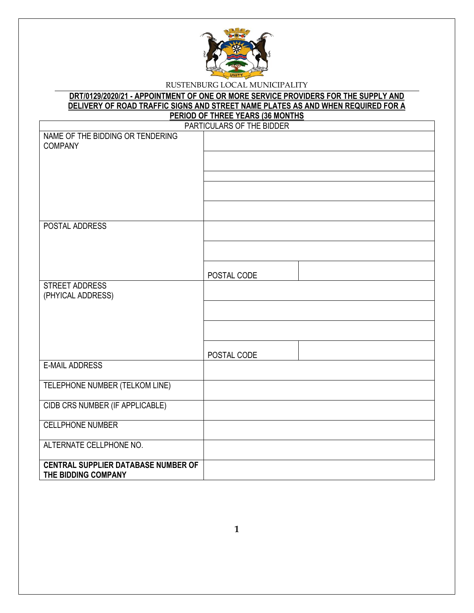

## **DRT/0129/2020/21 - APPOINTMENT OF ONE OR MORE SERVICE PROVIDERS FOR THE SUPPLY AND DELIVERY OF ROAD TRAFFIC SIGNS AND STREET NAME PLATES AS AND WHEN REQUIRED FOR A PERIOD OF THREE YEARS (36 MONTHS**

| <u>.</u><br>PARTICULARS OF THE BIDDER      |             |  |  |  |
|--------------------------------------------|-------------|--|--|--|
| NAME OF THE BIDDING OR TENDERING           |             |  |  |  |
| <b>COMPANY</b>                             |             |  |  |  |
|                                            |             |  |  |  |
|                                            |             |  |  |  |
|                                            |             |  |  |  |
|                                            |             |  |  |  |
|                                            |             |  |  |  |
| POSTAL ADDRESS                             |             |  |  |  |
|                                            |             |  |  |  |
|                                            |             |  |  |  |
|                                            |             |  |  |  |
|                                            | POSTAL CODE |  |  |  |
| <b>STREET ADDRESS</b><br>(PHYICAL ADDRESS) |             |  |  |  |
|                                            |             |  |  |  |
|                                            |             |  |  |  |
|                                            |             |  |  |  |
|                                            | POSTAL CODE |  |  |  |
| <b>E-MAIL ADDRESS</b>                      |             |  |  |  |
|                                            |             |  |  |  |
| TELEPHONE NUMBER (TELKOM LINE)             |             |  |  |  |
| CIDB CRS NUMBER (IF APPLICABLE)            |             |  |  |  |
|                                            |             |  |  |  |
| <b>CELLPHONE NUMBER</b>                    |             |  |  |  |
| ALTERNATE CELLPHONE NO.                    |             |  |  |  |
| <b>CENTRAL SUPPLIER DATABASE NUMBER OF</b> |             |  |  |  |
| THE BIDDING COMPANY                        |             |  |  |  |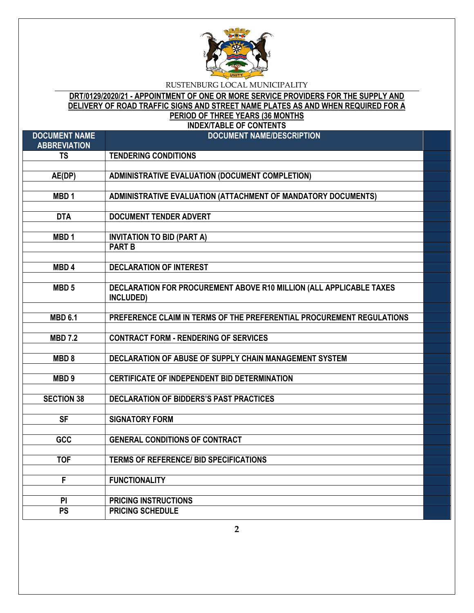

# **DRT/0129/2020/21 - APPOINTMENT OF ONE OR MORE SERVICE PROVIDERS FOR THE SUPPLY AND DELIVERY OF ROAD TRAFFIC SIGNS AND STREET NAME PLATES AS AND WHEN REQUIRED FOR A PERIOD OF THREE YEARS (36 MONTHS**

**INDEX/TABLE OF CONTENTS**

| <b>DOCUMENT NAME</b><br><b>ABBREVIATION</b> | <b>DOCUMENT NAME/DESCRIPTION</b>                                      |  |
|---------------------------------------------|-----------------------------------------------------------------------|--|
| <b>TS</b>                                   | <b>TENDERING CONDITIONS</b>                                           |  |
|                                             |                                                                       |  |
| AE(DP)                                      | <b>ADMINISTRATIVE EVALUATION (DOCUMENT COMPLETION)</b>                |  |
|                                             |                                                                       |  |
| MBD <sub>1</sub>                            | ADMINISTRATIVE EVALUATION (ATTACHMENT OF MANDATORY DOCUMENTS)         |  |
|                                             |                                                                       |  |
| <b>DTA</b>                                  | <b>DOCUMENT TENDER ADVERT</b>                                         |  |
|                                             |                                                                       |  |
| MBD <sub>1</sub>                            | <b>INVITATION TO BID (PART A)</b><br><b>PART B</b>                    |  |
|                                             |                                                                       |  |
| MBD <sub>4</sub>                            | <b>DECLARATION OF INTEREST</b>                                        |  |
|                                             |                                                                       |  |
| MBD <sub>5</sub>                            | DECLARATION FOR PROCUREMENT ABOVE R10 MILLION (ALL APPLICABLE TAXES   |  |
|                                             | INCLUDED)                                                             |  |
|                                             |                                                                       |  |
| <b>MBD 6.1</b>                              | PREFERENCE CLAIM IN TERMS OF THE PREFERENTIAL PROCUREMENT REGULATIONS |  |
|                                             |                                                                       |  |
| <b>MBD 7.2</b>                              | <b>CONTRACT FORM - RENDERING OF SERVICES</b>                          |  |
|                                             |                                                                       |  |
| MBD <sub>8</sub>                            | DECLARATION OF ABUSE OF SUPPLY CHAIN MANAGEMENT SYSTEM                |  |
|                                             |                                                                       |  |
| MBD <sub>9</sub>                            | CERTIFICATE OF INDEPENDENT BID DETERMINATION                          |  |
| <b>SECTION 38</b>                           | DECLARATION OF BIDDERS'S PAST PRACTICES                               |  |
|                                             |                                                                       |  |
| $\overline{\mathsf{SF}}$                    | <b>SIGNATORY FORM</b>                                                 |  |
|                                             |                                                                       |  |
| GCC                                         | <b>GENERAL CONDITIONS OF CONTRACT</b>                                 |  |
|                                             |                                                                       |  |
| <b>TOF</b>                                  | <b>TERMS OF REFERENCE/ BID SPECIFICATIONS</b>                         |  |
|                                             |                                                                       |  |
| F                                           | <b>FUNCTIONALITY</b>                                                  |  |
|                                             |                                                                       |  |
| PI                                          | <b>PRICING INSTRUCTIONS</b>                                           |  |
| <b>PS</b>                                   | <b>PRICING SCHEDULE</b>                                               |  |

**2**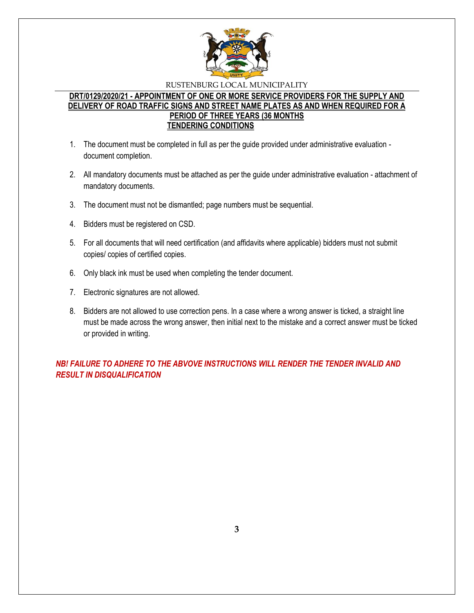

## **DRT/0129/2020/21 - APPOINTMENT OF ONE OR MORE SERVICE PROVIDERS FOR THE SUPPLY AND DELIVERY OF ROAD TRAFFIC SIGNS AND STREET NAME PLATES AS AND WHEN REQUIRED FOR A PERIOD OF THREE YEARS (36 MONTHS TENDERING CONDITIONS**

- 1. The document must be completed in full as per the guide provided under administrative evaluation document completion.
- 2. All mandatory documents must be attached as per the guide under administrative evaluation attachment of mandatory documents.
- 3. The document must not be dismantled; page numbers must be sequential.
- 4. Bidders must be registered on CSD.
- 5. For all documents that will need certification (and affidavits where applicable) bidders must not submit copies/ copies of certified copies.
- 6. Only black ink must be used when completing the tender document.
- 7. Electronic signatures are not allowed.
- 8. Bidders are not allowed to use correction pens. In a case where a wrong answer is ticked, a straight line must be made across the wrong answer, then initial next to the mistake and a correct answer must be ticked or provided in writing.

*NB! FAILURE TO ADHERE TO THE ABVOVE INSTRUCTIONS WILL RENDER THE TENDER INVALID AND RESULT IN DISQUALIFICATION*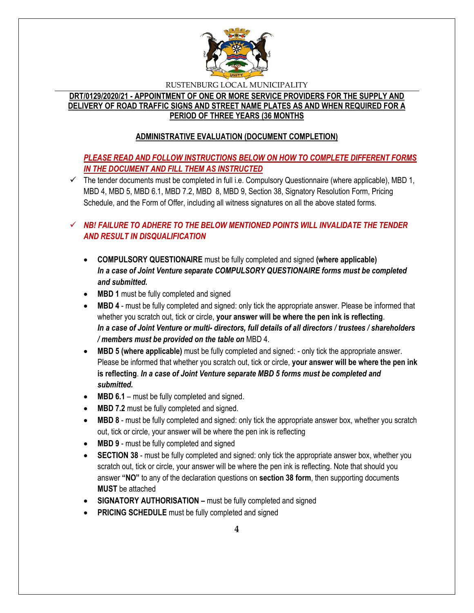

# **DRT/0129/2020/21 - APPOINTMENT OF ONE OR MORE SERVICE PROVIDERS FOR THE SUPPLY AND DELIVERY OF ROAD TRAFFIC SIGNS AND STREET NAME PLATES AS AND WHEN REQUIRED FOR A PERIOD OF THREE YEARS (36 MONTHS**

# **ADMINISTRATIVE EVALUATION (DOCUMENT COMPLETION)**

# *PLEASE READ AND FOLLOW INSTRUCTIONS BELOW ON HOW TO COMPLETE DIFFERENT FORMS IN THE DOCUMENT AND FILL THEM AS INSTRUCTED*

 $\checkmark$  The tender documents must be completed in full i.e. Compulsory Questionnaire (where applicable), MBD 1, MBD 4, MBD 5, MBD 6.1, MBD 7.2, MBD 8, MBD 9, Section 38, Signatory Resolution Form, Pricing Schedule, and the Form of Offer, including all witness signatures on all the above stated forms.

# $\checkmark$  **NB! FAILURE TO ADHERE TO THE BELOW MENTIONED POINTS WILL INVALIDATE THE TENDER** *AND RESULT IN DISQUALIFICATION*

- **COMPULSORY QUESTIONAIRE** must be fully completed and signed **(where applicable)** *In a case of Joint Venture separate COMPULSORY QUESTIONAIRE forms must be completed and submitted.*
- MBD 1 must be fully completed and signed
- **MBD 4** must be fully completed and signed: only tick the appropriate answer. Please be informed that whether you scratch out, tick or circle, **your answer will be where the pen ink is reflecting**. *In a case of Joint Venture or multi- directors, full details of all directors / trustees / shareholders / members must be provided on the table on* MBD 4.
- **MBD 5 (where applicable)** must be fully completed and signed: only tick the appropriate answer. Please be informed that whether you scratch out, tick or circle, **your answer will be where the pen ink is reflecting**. *In a case of Joint Venture separate MBD 5 forms must be completed and submitted.*
- MBD 6.1 must be fully completed and signed.
- **MBD 7.2** must be fully completed and signed.
- **MBD 8** must be fully completed and signed: only tick the appropriate answer box, whether you scratch out, tick or circle, your answer will be where the pen ink is reflecting
- MBD 9 must be fully completed and signed
- **SECTION 38** must be fully completed and signed: only tick the appropriate answer box, whether you scratch out, tick or circle, your answer will be where the pen ink is reflecting. Note that should you answer **"NO"** to any of the declaration questions on **section 38 form**, then supporting documents **MUST** be attached
- **SIGNATORY AUTHORISATION –** must be fully completed and signed
- **PRICING SCHEDULE** must be fully completed and signed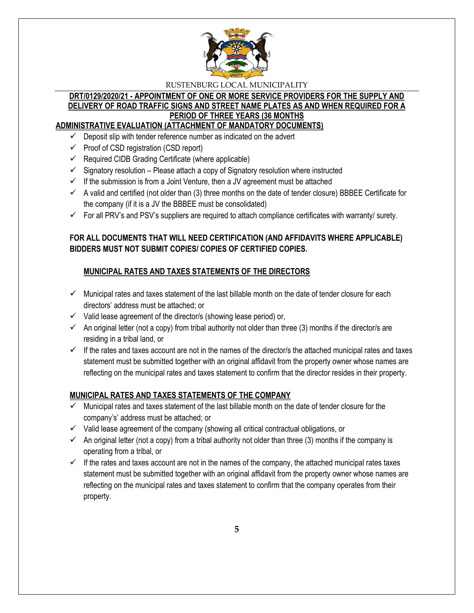

## **DRT/0129/2020/21 - APPOINTMENT OF ONE OR MORE SERVICE PROVIDERS FOR THE SUPPLY AND DELIVERY OF ROAD TRAFFIC SIGNS AND STREET NAME PLATES AS AND WHEN REQUIRED FOR A PERIOD OF THREE YEARS (36 MONTHS ADMINISTRATIVE EVALUATION (ATTACHMENT OF MANDATORY DOCUMENTS)**

- $\checkmark$  Deposit slip with tender reference number as indicated on the advert
- $\checkmark$  Proof of CSD registration (CSD report)
- $\checkmark$  Required CIDB Grading Certificate (where applicable)
- $\checkmark$  Signatory resolution Please attach a copy of Signatory resolution where instructed
- $\checkmark$  If the submission is from a Joint Venture, then a JV agreement must be attached
- $\checkmark$  A valid and certified (not older than (3) three months on the date of tender closure) BBBEE Certificate for the company (if it is a JV the BBBEE must be consolidated)
- $\checkmark$  For all PRV's and PSV's suppliers are required to attach compliance certificates with warranty/ surety.

# **FOR ALL DOCUMENTS THAT WILL NEED CERTIFICATION (AND AFFIDAVITS WHERE APPLICABLE) BIDDERS MUST NOT SUBMIT COPIES/ COPIES OF CERTIFIED COPIES.**

# **MUNICIPAL RATES AND TAXES STATEMENTS OF THE DIRECTORS**

- $\checkmark$  Municipal rates and taxes statement of the last billable month on the date of tender closure for each directors' address must be attached; or
- $\checkmark$  Valid lease agreement of the director/s (showing lease period) or,
- $\checkmark$  An original letter (not a copy) from tribal authority not older than three (3) months if the director/s are residing in a tribal land, or
- $\checkmark$  If the rates and taxes account are not in the names of the director/s the attached municipal rates and taxes statement must be submitted together with an original affidavit from the property owner whose names are reflecting on the municipal rates and taxes statement to confirm that the director resides in their property.

# **MUNICIPAL RATES AND TAXES STATEMENTS OF THE COMPANY**

- Municipal rates and taxes statement of the last billable month on the date of tender closure for the company's' address must be attached; or
- $\checkmark$  Valid lease agreement of the company (showing all critical contractual obligations, or
- $\checkmark$  An original letter (not a copy) from a tribal authority not older than three (3) months if the company is operating from a tribal, or
- $\checkmark$  If the rates and taxes account are not in the names of the company, the attached municipal rates taxes statement must be submitted together with an original affidavit from the property owner whose names are reflecting on the municipal rates and taxes statement to confirm that the company operates from their property.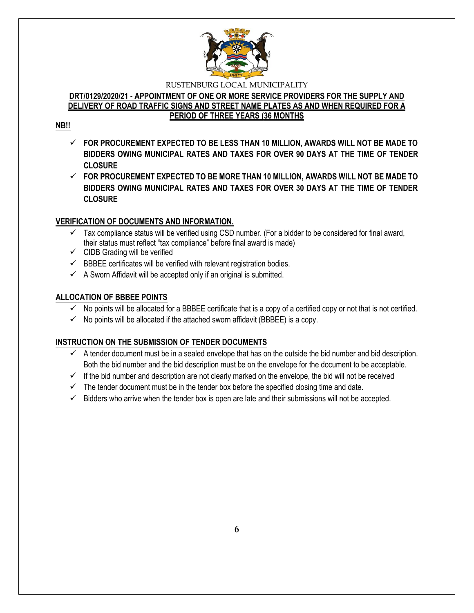

## **DRT/0129/2020/21 - APPOINTMENT OF ONE OR MORE SERVICE PROVIDERS FOR THE SUPPLY AND DELIVERY OF ROAD TRAFFIC SIGNS AND STREET NAME PLATES AS AND WHEN REQUIRED FOR A PERIOD OF THREE YEARS (36 MONTHS**

# **NB!!**

- **FOR PROCUREMENT EXPECTED TO BE LESS THAN 10 MILLION, AWARDS WILL NOT BE MADE TO BIDDERS OWING MUNICIPAL RATES AND TAXES FOR OVER 90 DAYS AT THE TIME OF TENDER CLOSURE**
- **FOR PROCUREMENT EXPECTED TO BE MORE THAN 10 MILLION, AWARDS WILL NOT BE MADE TO BIDDERS OWING MUNICIPAL RATES AND TAXES FOR OVER 30 DAYS AT THE TIME OF TENDER CLOSURE**

# **VERIFICATION OF DOCUMENTS AND INFORMATION.**

- $\checkmark$  Tax compliance status will be verified using CSD number. (For a bidder to be considered for final award, their status must reflect "tax compliance" before final award is made)
- $\checkmark$  CIDB Grading will be verified
- $\checkmark$  BBBEE certificates will be verified with relevant registration bodies.
- $\checkmark$  A Sworn Affidavit will be accepted only if an original is submitted.

# **ALLOCATION OF BBBEE POINTS**

- $\checkmark$  No points will be allocated for a BBBEE certificate that is a copy of a certified copy or not that is not certified.
- $\checkmark$  No points will be allocated if the attached sworn affidavit (BBBEE) is a copy.

# **INSTRUCTION ON THE SUBMISSION OF TENDER DOCUMENTS**

- $\checkmark$  A tender document must be in a sealed envelope that has on the outside the bid number and bid description. Both the bid number and the bid description must be on the envelope for the document to be acceptable.
- $\checkmark$  If the bid number and description are not clearly marked on the envelope, the bid will not be received
- $\checkmark$  The tender document must be in the tender box before the specified closing time and date.
- $\checkmark$  Bidders who arrive when the tender box is open are late and their submissions will not be accepted.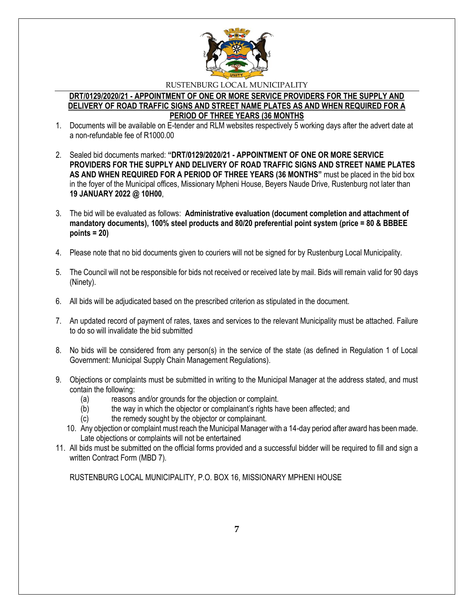

## **DRT/0129/2020/21 - APPOINTMENT OF ONE OR MORE SERVICE PROVIDERS FOR THE SUPPLY AND DELIVERY OF ROAD TRAFFIC SIGNS AND STREET NAME PLATES AS AND WHEN REQUIRED FOR A PERIOD OF THREE YEARS (36 MONTHS**

- 1. Documents will be available on E-tender and RLM websites respectively 5 working days after the advert date at a non-refundable fee of R1000.00
- 2. Sealed bid documents marked: **"DRT/0129/2020/21 - APPOINTMENT OF ONE OR MORE SERVICE PROVIDERS FOR THE SUPPLY AND DELIVERY OF ROAD TRAFFIC SIGNS AND STREET NAME PLATES AS AND WHEN REQUIRED FOR A PERIOD OF THREE YEARS (36 MONTHS"** must be placed in the bid box in the foyer of the Municipal offices, Missionary Mpheni House, Beyers Naude Drive, Rustenburg not later than **19 JANUARY 2022 @ 10H00**,
- 3. The bid will be evaluated as follows: **Administrative evaluation (document completion and attachment of mandatory documents), 100% steel products and 80/20 preferential point system (price = 80 & BBBEE points = 20)**
- 4. Please note that no bid documents given to couriers will not be signed for by Rustenburg Local Municipality.
- 5. The Council will not be responsible for bids not received or received late by mail. Bids will remain valid for 90 days (Ninety).
- 6. All bids will be adjudicated based on the prescribed criterion as stipulated in the document.
- 7. An updated record of payment of rates, taxes and services to the relevant Municipality must be attached. Failure to do so will invalidate the bid submitted
- 8. No bids will be considered from any person(s) in the service of the state (as defined in Regulation 1 of Local Government: Municipal Supply Chain Management Regulations).
- 9. Objections or complaints must be submitted in writing to the Municipal Manager at the address stated, and must contain the following:
	- (a) reasons and/or grounds for the objection or complaint.
	- (b) the way in which the objector or complainant's rights have been affected; and
	- (c) the remedy sought by the objector or complainant.
	- 10. Any objection or complaint must reach the Municipal Manager with a 14-day period after award has been made. Late objections or complaints will not be entertained
- 11. All bids must be submitted on the official forms provided and a successful bidder will be required to fill and sign a written Contract Form (MBD 7).

RUSTENBURG LOCAL MUNICIPALITY, P.O. BOX 16, MISSIONARY MPHENI HOUSE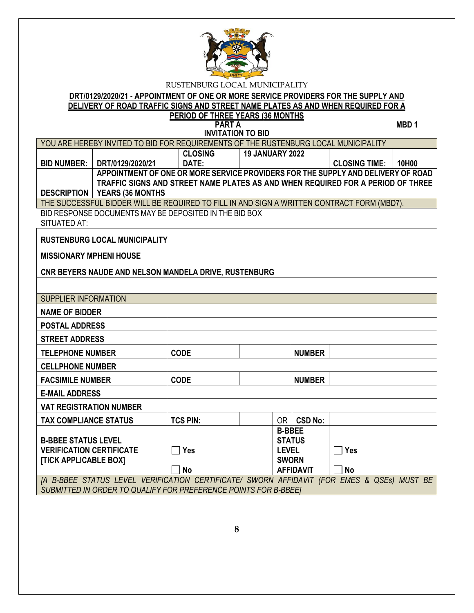

# **DRT/0129/2020/21 - APPOINTMENT OF ONE OR MORE SERVICE PROVIDERS FOR THE SUPPLY AND DELIVERY OF ROAD TRAFFIC SIGNS AND STREET NAME PLATES AS AND WHEN REQUIRED FOR A**

#### **PERIOD OF THREE YEARS (36 MONTHS PART A** MBD 1

**INVITATION TO BID**

|                                                               | YOU ARE HEREBY INVITED TO BID FOR REQUIREMENTS OF THE RUSTENBURG LOCAL MUNICIPALITY                                       |                 |                        |               |                  |                      |       |
|---------------------------------------------------------------|---------------------------------------------------------------------------------------------------------------------------|-----------------|------------------------|---------------|------------------|----------------------|-------|
|                                                               |                                                                                                                           | <b>CLOSING</b>  | <b>19 JANUARY 2022</b> |               |                  |                      |       |
| <b>BID NUMBER:</b>                                            | DRT/0129/2020/21                                                                                                          | DATE:           |                        |               |                  | <b>CLOSING TIME:</b> | 10H00 |
|                                                               | APPOINTMENT OF ONE OR MORE SERVICE PROVIDERS FOR THE SUPPLY AND DELIVERY OF ROAD                                          |                 |                        |               |                  |                      |       |
|                                                               | TRAFFIC SIGNS AND STREET NAME PLATES AS AND WHEN REQUIRED FOR A PERIOD OF THREE<br><b>DESCRIPTION   YEARS (36 MONTHS)</b> |                 |                        |               |                  |                      |       |
|                                                               | THE SUCCESSFUL BIDDER WILL BE REQUIRED TO FILL IN AND SIGN A WRITTEN CONTRACT FORM (MBD7).                                |                 |                        |               |                  |                      |       |
|                                                               | BID RESPONSE DOCUMENTS MAY BE DEPOSITED IN THE BID BOX                                                                    |                 |                        |               |                  |                      |       |
| SITUATED AT:                                                  |                                                                                                                           |                 |                        |               |                  |                      |       |
|                                                               | <b>RUSTENBURG LOCAL MUNICIPALITY</b>                                                                                      |                 |                        |               |                  |                      |       |
| <b>MISSIONARY MPHENI HOUSE</b>                                |                                                                                                                           |                 |                        |               |                  |                      |       |
|                                                               | CNR BEYERS NAUDE AND NELSON MANDELA DRIVE, RUSTENBURG                                                                     |                 |                        |               |                  |                      |       |
|                                                               |                                                                                                                           |                 |                        |               |                  |                      |       |
| <b>SUPPLIER INFORMATION</b>                                   |                                                                                                                           |                 |                        |               |                  |                      |       |
| <b>NAME OF BIDDER</b>                                         |                                                                                                                           |                 |                        |               |                  |                      |       |
| <b>POSTAL ADDRESS</b>                                         |                                                                                                                           |                 |                        |               |                  |                      |       |
| <b>STREET ADDRESS</b>                                         |                                                                                                                           |                 |                        |               |                  |                      |       |
| <b>TELEPHONE NUMBER</b>                                       |                                                                                                                           | <b>CODE</b>     |                        |               | <b>NUMBER</b>    |                      |       |
| <b>CELLPHONE NUMBER</b>                                       |                                                                                                                           |                 |                        |               |                  |                      |       |
| <b>FACSIMILE NUMBER</b>                                       |                                                                                                                           | <b>CODE</b>     |                        |               | <b>NUMBER</b>    |                      |       |
| <b>E-MAIL ADDRESS</b>                                         |                                                                                                                           |                 |                        |               |                  |                      |       |
| <b>VAT REGISTRATION NUMBER</b>                                |                                                                                                                           |                 |                        |               |                  |                      |       |
| <b>TAX COMPLIANCE STATUS</b>                                  |                                                                                                                           | <b>TCS PIN:</b> |                        |               | $OR$ $CSD$ No:   |                      |       |
|                                                               |                                                                                                                           |                 |                        | <b>B-BBEE</b> |                  |                      |       |
| <b>B-BBEE STATUS LEVEL</b><br><b>VERIFICATION CERTIFICATE</b> |                                                                                                                           | $\Box$ Yes      |                        | <b>LEVEL</b>  | <b>STATUS</b>    | $\Box$ Yes           |       |
| <b>[TICK APPLICABLE BOX]</b>                                  |                                                                                                                           |                 |                        | <b>SWORN</b>  |                  |                      |       |
|                                                               |                                                                                                                           | <b>No</b>       |                        |               | <b>AFFIDAVIT</b> | <b>No</b>            |       |
|                                                               | [A B-BBEE STATUS LEVEL VERIFICATION CERTIFICATE/ SWORN AFFIDAVIT (FOR EMES & QSEs) MUST BE                                |                 |                        |               |                  |                      |       |
|                                                               | SUBMITTED IN ORDER TO QUALIFY FOR PREFERENCE POINTS FOR B-BBEET                                                           |                 |                        |               |                  |                      |       |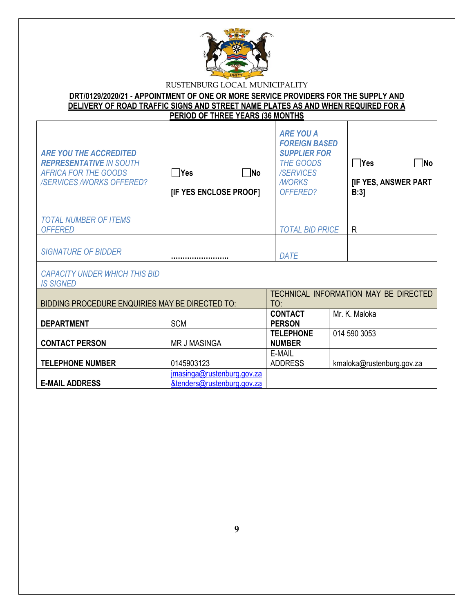

| DRT/0129/2020/21 - APPOINTMENT OF ONE OR MORE SERVICE PROVIDERS FOR THE SUPPLY AND |
|------------------------------------------------------------------------------------|
| DELIVERY OF ROAD TRAFFIC SIGNS AND STREET NAME PLATES AS AND WHEN REQUIRED FOR A   |
| PERIOD OF THREE YEARS (36 MONTHS)                                                  |

| <b>ARE YOU THE ACCREDITED</b><br><b>REPRESENTATIVE IN SOUTH</b><br><b>AFRICA FOR THE GOODS</b><br><b>/SERVICES/WORKS OFFERED?</b> | $\n  No\n$<br><b>PYes</b><br>[IF YES ENCLOSE PROOF]      | <b>ARE YOU A</b><br><b>FOREIGN BASED</b><br><b>SUPPLIER FOR</b><br><b>THE GOODS</b><br>/SERVICES<br><b>NORKS</b><br>OFFERED? | $\Box$ Yes<br>∏No<br><b>[IF YES, ANSWER PART</b><br>B:3 |
|-----------------------------------------------------------------------------------------------------------------------------------|----------------------------------------------------------|------------------------------------------------------------------------------------------------------------------------------|---------------------------------------------------------|
| <b>TOTAL NUMBER OF ITEMS</b><br><b>OFFERED</b>                                                                                    |                                                          | <b>TOTAL BID PRICE</b>                                                                                                       | R                                                       |
| <b>SIGNATURE OF BIDDER</b>                                                                                                        |                                                          | DATE                                                                                                                         |                                                         |
| <b>CAPACITY UNDER WHICH THIS BID</b><br><b>IS SIGNED</b>                                                                          |                                                          |                                                                                                                              |                                                         |
| BIDDING PROCEDURE ENQUIRIES MAY BE DIRECTED TO:                                                                                   |                                                          | TO:                                                                                                                          | TECHNICAL INFORMATION MAY BE DIRECTED                   |
| <b>DEPARTMENT</b>                                                                                                                 | <b>SCM</b>                                               | <b>CONTACT</b><br><b>PERSON</b>                                                                                              | Mr. K. Maloka                                           |
| <b>CONTACT PERSON</b>                                                                                                             | <b>MR J MASINGA</b>                                      | <b>TELEPHONE</b><br><b>NUMBER</b>                                                                                            | 014 590 3053                                            |
| <b>TELEPHONE NUMBER</b>                                                                                                           | 0145903123                                               | E-MAIL<br><b>ADDRESS</b>                                                                                                     | kmaloka@rustenburg.gov.za                               |
| <b>E-MAIL ADDRESS</b>                                                                                                             | jmasinga@rustenburg.gov.za<br>&tenders@rustenburg.gov.za |                                                                                                                              |                                                         |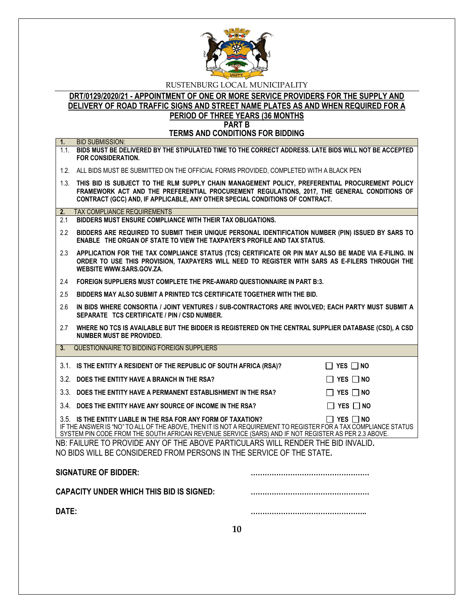

## **DRT/0129/2020/21 - APPOINTMENT OF ONE OR MORE SERVICE PROVIDERS FOR THE SUPPLY AND DELIVERY OF ROAD TRAFFIC SIGNS AND STREET NAME PLATES AS AND WHEN REQUIRED FOR A PERIOD OF THREE YEARS (36 MONTHS PART B**

**TERMS AND CONDITIONS FOR BIDDING**

| 1.                                                                   | <b>BID SUBMISSION:</b>                                                                                                                                                                                                                                                                   |                      |  |  |
|----------------------------------------------------------------------|------------------------------------------------------------------------------------------------------------------------------------------------------------------------------------------------------------------------------------------------------------------------------------------|----------------------|--|--|
|                                                                      | 1.1. BIDS MUST BE DELIVERED BY THE STIPULATED TIME TO THE CORRECT ADDRESS. LATE BIDS WILL NOT BE ACCEPTED<br>FOR CONSIDERATION.                                                                                                                                                          |                      |  |  |
|                                                                      | 1.2. ALL BIDS MUST BE SUBMITTED ON THE OFFICIAL FORMS PROVIDED, COMPLETED WITH A BLACK PEN                                                                                                                                                                                               |                      |  |  |
|                                                                      | 1.3. THIS BID IS SUBJECT TO THE RLM SUPPLY CHAIN MANAGEMENT POLICY, PREFERENTIAL PROCUREMENT POLICY<br>FRAMEWORK ACT AND THE PREFERENTIAL PROCUREMENT REGULATIONS, 2017, THE GENERAL CONDITIONS OF<br>CONTRACT (GCC) AND, IF APPLICABLE, ANY OTHER SPECIAL CONDITIONS OF CONTRACT.       |                      |  |  |
| 2.                                                                   | <b>TAX COMPLIANCE REQUIREMENTS</b>                                                                                                                                                                                                                                                       |                      |  |  |
| 2.1                                                                  | BIDDERS MUST ENSURE COMPLIANCE WITH THEIR TAX OBLIGATIONS.                                                                                                                                                                                                                               |                      |  |  |
| 2.2                                                                  | BIDDERS ARE REQUIRED TO SUBMIT THEIR UNIQUE PERSONAL IDENTIFICATION NUMBER (PIN) ISSUED BY SARS TO<br>ENABLE THE ORGAN OF STATE TO VIEW THE TAXPAYER'S PROFILE AND TAX STATUS.                                                                                                           |                      |  |  |
| 2.3                                                                  | APPLICATION FOR THE TAX COMPLIANCE STATUS (TCS) CERTIFICATE OR PIN MAY ALSO BE MADE VIA E-FILING. IN<br>ORDER TO USE THIS PROVISION, TAXPAYERS WILL NEED TO REGISTER WITH SARS AS E-FILERS THROUGH THE<br>WEBSITE WWW.SARS.GOV.ZA.                                                       |                      |  |  |
| 2.4                                                                  | FOREIGN SUPPLIERS MUST COMPLETE THE PRE-AWARD QUESTIONNAIRE IN PART B:3.                                                                                                                                                                                                                 |                      |  |  |
| 2.5                                                                  | BIDDERS MAY ALSO SUBMIT A PRINTED TCS CERTIFICATE TOGETHER WITH THE BID.                                                                                                                                                                                                                 |                      |  |  |
| 2.6                                                                  | IN BIDS WHERE CONSORTIA / JOINT VENTURES / SUB-CONTRACTORS ARE INVOLVED; EACH PARTY MUST SUBMIT A<br>SEPARATE TCS CERTIFICATE / PIN / CSD NUMBER.                                                                                                                                        |                      |  |  |
| 2.7                                                                  | WHERE NO TCS IS AVAILABLE BUT THE BIDDER IS REGISTERED ON THE CENTRAL SUPPLIER DATABASE (CSD), A CSD<br><b>NUMBER MUST BE PROVIDED.</b>                                                                                                                                                  |                      |  |  |
| 3 <sub>1</sub>                                                       | QUESTIONNAIRE TO BIDDING FOREIGN SUPPLIERS                                                                                                                                                                                                                                               |                      |  |  |
|                                                                      | 3.1. IS THE ENTITY A RESIDENT OF THE REPUBLIC OF SOUTH AFRICA (RSA)?                                                                                                                                                                                                                     | $\Box$ YES $\Box$ NO |  |  |
|                                                                      | 3.2. DOES THE ENTITY HAVE A BRANCH IN THE RSA?                                                                                                                                                                                                                                           | $\Box$ Yes $\Box$ No |  |  |
|                                                                      | 3.3. DOES THE ENTITY HAVE A PERMANENT ESTABLISHMENT IN THE RSA?                                                                                                                                                                                                                          | $\Box$ YES $\Box$ NO |  |  |
|                                                                      | 3.4. DOES THE ENTITY HAVE ANY SOURCE OF INCOME IN THE RSA?                                                                                                                                                                                                                               | $\Box$ Yes $\Box$ No |  |  |
|                                                                      | 3.5. IS THE ENTITY LIABLE IN THE RSA FOR ANY FORM OF TAXATION?<br>IF THE ANSWER IS "NO" TO ALL OF THE ABOVE, THEN IT IS NOT A REQUIREMENT TO REGISTER FOR A TAX COMPLIANCE STATUS<br>SYSTEM PIN CODE FROM THE SOUTH AFRICAN REVENUE SERVICE (SARS) AND IF NOT REGISTER AS PER 2.3 ABOVE. | $\Box$ YES $\Box$ NO |  |  |
|                                                                      | NB: FAILURE TO PROVIDE ANY OF THE ABOVE PARTICULARS WILL RENDER THE BID INVALID.                                                                                                                                                                                                         |                      |  |  |
| NO BIDS WILL BE CONSIDERED FROM PERSONS IN THE SERVICE OF THE STATE. |                                                                                                                                                                                                                                                                                          |                      |  |  |
|                                                                      | <b>SIGNATURE OF BIDDER:</b>                                                                                                                                                                                                                                                              |                      |  |  |
|                                                                      | <b>CAPACITY UNDER WHICH THIS BID IS SIGNED:</b>                                                                                                                                                                                                                                          |                      |  |  |
| DATE:                                                                |                                                                                                                                                                                                                                                                                          |                      |  |  |
|                                                                      | 10                                                                                                                                                                                                                                                                                       |                      |  |  |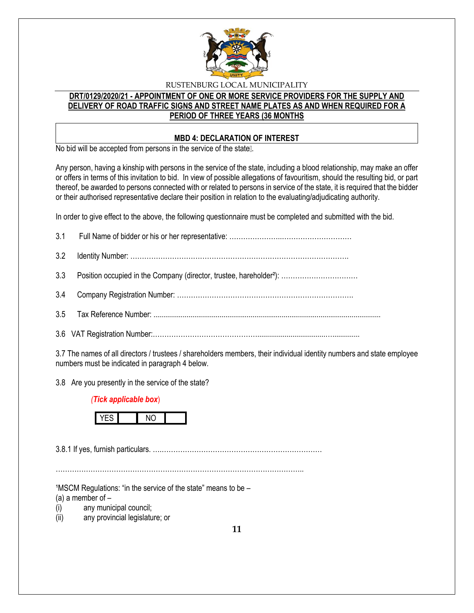

# **DRT/0129/2020/21 - APPOINTMENT OF ONE OR MORE SERVICE PROVIDERS FOR THE SUPPLY AND DELIVERY OF ROAD TRAFFIC SIGNS AND STREET NAME PLATES AS AND WHEN REQUIRED FOR A PERIOD OF THREE YEARS (36 MONTHS**

## **MBD 4: DECLARATION OF INTEREST**

No bid will be accepted from persons in the service of the state ...

Any person, having a kinship with persons in the service of the state, including a blood relationship, may make an offer or offers in terms of this invitation to bid. In view of possible allegations of favouritism, should the resulting bid, or part thereof, be awarded to persons connected with or related to persons in service of the state, it is required that the bidder or their authorised representative declare their position in relation to the evaluating/adjudicating authority.

In order to give effect to the above, the following questionnaire must be completed and submitted with the bid.

3.7 The names of all directors / trustees / shareholders members, their individual identity numbers and state employee numbers must be indicated in paragraph 4 below.

3.8 Are you presently in the service of the state?

## *(Tick applicable box*)



3.8.1 If yes, furnish particulars. ….……………………………………………………………

……………………………………………………………………………………………..

 $1$ MSCM Regulations: "in the service of the state" means to be  $-$ 

(a) a member of  $-$ 

- (i) any municipal council;
- (ii) any provincial legislature; or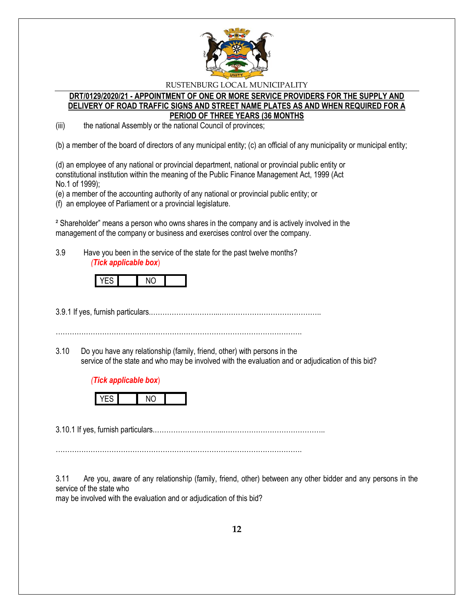

## **DRT/0129/2020/21 - APPOINTMENT OF ONE OR MORE SERVICE PROVIDERS FOR THE SUPPLY AND DELIVERY OF ROAD TRAFFIC SIGNS AND STREET NAME PLATES AS AND WHEN REQUIRED FOR A PERIOD OF THREE YEARS (36 MONTHS**

(iii) the national Assembly or the national Council of provinces;

(b) a member of the board of directors of any municipal entity; (c) an official of any municipality or municipal entity;

(d) an employee of any national or provincial department, national or provincial public entity or constitutional institution within the meaning of the Public Finance Management Act, 1999 (Act No.1 of 1999);

(e) a member of the accounting authority of any national or provincial public entity; or

(f) an employee of Parliament or a provincial legislature.

² Shareholder" means a person who owns shares in the company and is actively involved in the management of the company or business and exercises control over the company.

3.9 Have you been in the service of the state for the past twelve months? *(Tick applicable box*)



3.9.1 If yes, furnish particulars.………………………...……………………………………..

…………………………………………………………………………………………….

3.10 Do you have any relationship (family, friend, other) with persons in the service of the state and who may be involved with the evaluation and or adjudication of this bid?





3.10.1 If yes, furnish particulars.………………………...……………………………………..

…………………………………………………………………………………………….

3.11 Are you, aware of any relationship (family, friend, other) between any other bidder and any persons in the service of the state who

may be involved with the evaluation and or adjudication of this bid?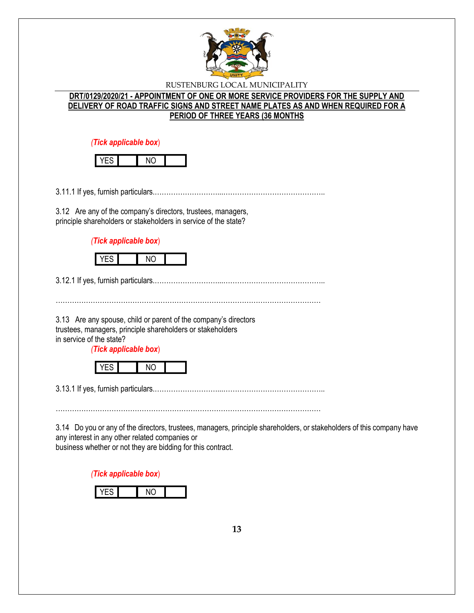

# **DRT/0129/2020/21 - APPOINTMENT OF ONE OR MORE SERVICE PROVIDERS FOR THE SUPPLY AND DELIVERY OF ROAD TRAFFIC SIGNS AND STREET NAME PLATES AS AND WHEN REQUIRED FOR A PERIOD OF THREE YEARS (36 MONTHS**

*(Tick applicable box*)

3.11.1 If yes, furnish particulars.………………………...……………………………………..

3.12 Are any of the company's directors, trustees, managers, principle shareholders or stakeholders in service of the state?

*(Tick applicable box*)



3.12.1 If yes, furnish particulars.………………………...……………………………………..

3.13 Are any spouse, child or parent of the company's directors trustees, managers, principle shareholders or stakeholders in service of the state?

*(Tick applicable box*)

|--|

3.13.1 If yes, furnish particulars.………………………...……………………………………..

……………………………………………………………………………………………………

3.14 Do you or any of the directors, trustees, managers, principle shareholders, or stakeholders of this company have any interest in any other related companies or business whether or not they are bidding for this contract.

*(Tick applicable box*)

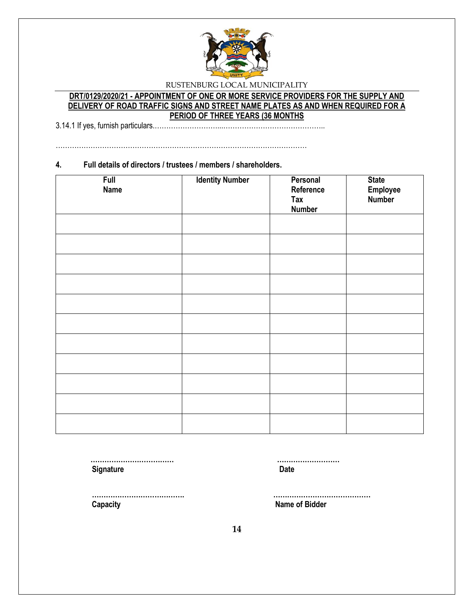

# **DRT/0129/2020/21 - APPOINTMENT OF ONE OR MORE SERVICE PROVIDERS FOR THE SUPPLY AND DELIVERY OF ROAD TRAFFIC SIGNS AND STREET NAME PLATES AS AND WHEN REQUIRED FOR A PERIOD OF THREE YEARS (36 MONTHS**

3.14.1 If yes, furnish particulars.………………………...……………………………………..

………………………………………………………………………………………………

### **4. Full details of directors / trustees / members / shareholders.**

| <b>Full</b><br><b>Name</b> | <b>Identity Number</b> | Personal<br>Reference<br>Tax<br><b>Number</b> | <b>State</b><br>Employee<br>Number |
|----------------------------|------------------------|-----------------------------------------------|------------------------------------|
|                            |                        |                                               |                                    |
|                            |                        |                                               |                                    |
|                            |                        |                                               |                                    |
|                            |                        |                                               |                                    |
|                            |                        |                                               |                                    |
|                            |                        |                                               |                                    |
|                            |                        |                                               |                                    |
|                            |                        |                                               |                                    |
|                            |                        |                                               |                                    |
|                            |                        |                                               |                                    |
|                            |                        |                                               |                                    |

 **……………………………… ……………………… Signature Date** 

 **…………………………………. …………………………………… Capacity Name of Bidder**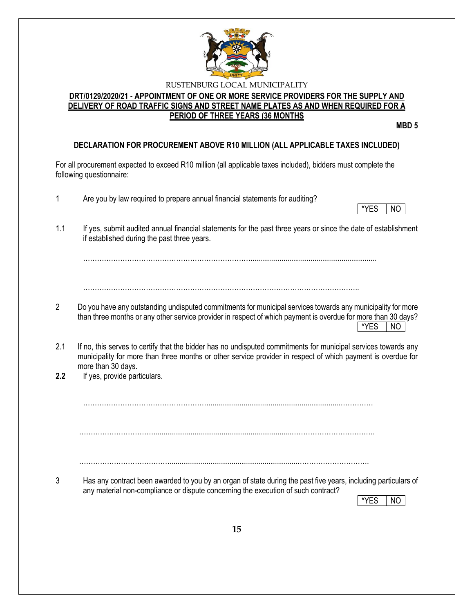

# **DRT/0129/2020/21 - APPOINTMENT OF ONE OR MORE SERVICE PROVIDERS FOR THE SUPPLY AND DELIVERY OF ROAD TRAFFIC SIGNS AND STREET NAME PLATES AS AND WHEN REQUIRED FOR A PERIOD OF THREE YEARS (36 MONTHS**

**MBD 5**

# **DECLARATION FOR PROCUREMENT ABOVE R10 MILLION (ALL APPLICABLE TAXES INCLUDED)**

For all procurement expected to exceed R10 million (all applicable taxes included), bidders must complete the following questionnaire:

- 1 Are you by law required to prepare annual financial statements for auditing?
- \*YES NO
- 1.1 If yes, submit audited annual financial statements for the past three years or since the date of establishment if established during the past three years.

……………………………………………………………….................................................................

………………………………………………………………………………………………………..

- 2 Do you have any outstanding undisputed commitments for municipal services towards any municipality for more than three months or any other service provider in respect of which payment is overdue for more than 30 days?  $*$ YES  $|$  NO
- 2.1 If no, this serves to certify that the bidder has no undisputed commitments for municipal services towards any municipality for more than three months or other service provider in respect of which payment is overdue for more than 30 days.
- **2.2** If yes, provide particulars.

………………………………………………...................................................................……………

…………………………….....................................................................……………………………….

…………………………………..................................................................………………………….

3 Has any contract been awarded to you by an organ of state during the past five years, including particulars of any material non-compliance or dispute concerning the execution of such contract?

\*YES I NO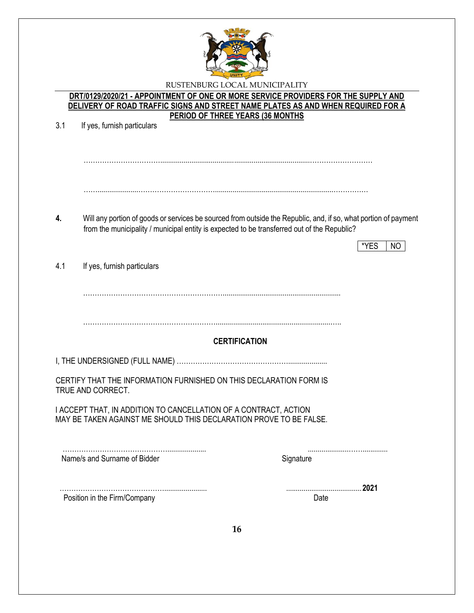

## **DRT/0129/2020/21 - APPOINTMENT OF ONE OR MORE SERVICE PROVIDERS FOR THE SUPPLY AND DELIVERY OF ROAD TRAFFIC SIGNS AND STREET NAME PLATES AS AND WHEN REQUIRED FOR A PERIOD OF THREE YEARS (36 MONTHS**

| 3.1 | If yes, furnish particulars                                                                                                            |                                                                                                                                |
|-----|----------------------------------------------------------------------------------------------------------------------------------------|--------------------------------------------------------------------------------------------------------------------------------|
|     |                                                                                                                                        |                                                                                                                                |
| 4.  | from the municipality / municipal entity is expected to be transferred out of the Republic?                                            | Will any portion of goods or services be sourced from outside the Republic, and, if so, what portion of payment<br>*YES<br>NO. |
| 4.1 | If yes, furnish particulars                                                                                                            |                                                                                                                                |
|     |                                                                                                                                        |                                                                                                                                |
|     |                                                                                                                                        | <b>CERTIFICATION</b>                                                                                                           |
|     |                                                                                                                                        |                                                                                                                                |
|     | CERTIFY THAT THE INFORMATION FURNISHED ON THIS DECLARATION FORM IS<br>TRUE AND CORRECT.                                                |                                                                                                                                |
|     | I ACCEPT THAT, IN ADDITION TO CANCELLATION OF A CONTRACT, ACTION<br>MAY BE TAKEN AGAINST ME SHOULD THIS DECLARATION PROVE TO BE FALSE. |                                                                                                                                |
|     | Name/s and Surname of Bidder                                                                                                           | Signature                                                                                                                      |
|     | Position in the Firm/Company                                                                                                           | 2021<br>Date                                                                                                                   |
|     |                                                                                                                                        | 16                                                                                                                             |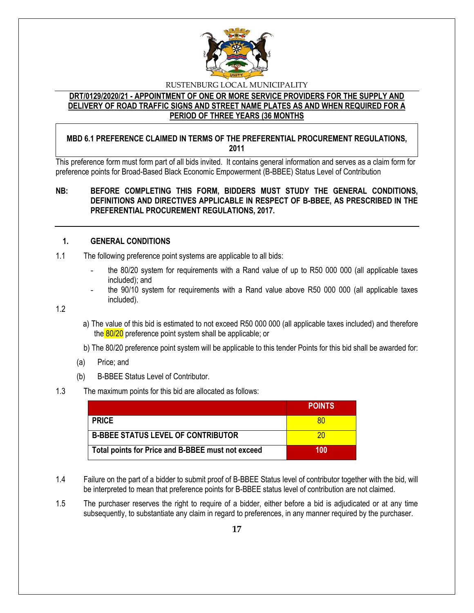

# **DRT/0129/2020/21 - APPOINTMENT OF ONE OR MORE SERVICE PROVIDERS FOR THE SUPPLY AND DELIVERY OF ROAD TRAFFIC SIGNS AND STREET NAME PLATES AS AND WHEN REQUIRED FOR A PERIOD OF THREE YEARS (36 MONTHS**

# **MBD 6.1 PREFERENCE CLAIMED IN TERMS OF THE PREFERENTIAL PROCUREMENT REGULATIONS, 2011**

This preference form must form part of all bids invited. It contains general information and serves as a claim form for preference points for Broad-Based Black Economic Empowerment (B-BBEE) Status Level of Contribution

# **NB: BEFORE COMPLETING THIS FORM, BIDDERS MUST STUDY THE GENERAL CONDITIONS, DEFINITIONS AND DIRECTIVES APPLICABLE IN RESPECT OF B-BBEE, AS PRESCRIBED IN THE PREFERENTIAL PROCUREMENT REGULATIONS, 2017.**

# **1. GENERAL CONDITIONS**

- 1.1 The following preference point systems are applicable to all bids:
	- the 80/20 system for requirements with a Rand value of up to R50 000 000 (all applicable taxes included); and
	- the 90/10 system for requirements with a Rand value above R50 000 000 (all applicable taxes included).

1.2

- a) The value of this bid is estimated to not exceed R50 000 000 (all applicable taxes included) and therefore the 80/20 preference point system shall be applicable; or
- b) The 80/20 preference point system will be applicable to this tender Points for this bid shall be awarded for:
- (a) Price; and
- (b) B-BBEE Status Level of Contributor.
- 1.3 The maximum points for this bid are allocated as follows:

|                                                   | <b>POINTS</b> |
|---------------------------------------------------|---------------|
| <b>PRICE</b>                                      |               |
| <b>B-BBEE STATUS LEVEL OF CONTRIBUTOR</b>         | 20            |
| Total points for Price and B-BBEE must not exceed | 100           |

- 1.4 Failure on the part of a bidder to submit proof of B-BBEE Status level of contributor together with the bid, will be interpreted to mean that preference points for B-BBEE status level of contribution are not claimed.
- 1.5 The purchaser reserves the right to require of a bidder, either before a bid is adjudicated or at any time subsequently, to substantiate any claim in regard to preferences, in any manner required by the purchaser.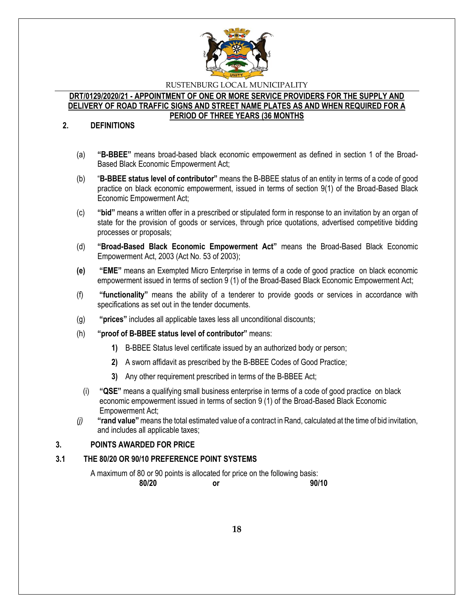

## **DRT/0129/2020/21 - APPOINTMENT OF ONE OR MORE SERVICE PROVIDERS FOR THE SUPPLY AND DELIVERY OF ROAD TRAFFIC SIGNS AND STREET NAME PLATES AS AND WHEN REQUIRED FOR A PERIOD OF THREE YEARS (36 MONTHS**

### **2. DEFINITIONS**

- (a) **"B-BBEE"** means broad-based black economic empowerment as defined in section 1 of the Broad-Based Black Economic Empowerment Act;
- (b) "**B-BBEE status level of contributor"** means the B-BBEE status of an entity in terms of a code of good practice on black economic empowerment, issued in terms of section 9(1) of the Broad-Based Black Economic Empowerment Act;
- (c) **"bid"** means a written offer in a prescribed or stipulated form in response to an invitation by an organ of state for the provision of goods or services, through price quotations, advertised competitive bidding processes or proposals;
- (d) **"Broad-Based Black Economic Empowerment Act"** means the Broad-Based Black Economic Empowerment Act, 2003 (Act No. 53 of 2003);
- **(e) "EME"** means an Exempted Micro Enterprise in terms of a code of good practice on black economic empowerment issued in terms of section 9 (1) of the Broad-Based Black Economic Empowerment Act;
- (f) **"functionality"** means the ability of a tenderer to provide goods or services in accordance with specifications as set out in the tender documents.
- (g) **"prices"** includes all applicable taxes less all unconditional discounts;
- (h) **"proof of B-BBEE status level of contributor"** means:
	- **1)** B-BBEE Status level certificate issued by an authorized body or person;
	- **2)** A sworn affidavit as prescribed by the B-BBEE Codes of Good Practice;
	- **3)** Any other requirement prescribed in terms of the B-BBEE Act;
	- (i) **"QSE"** means a qualifying small business enterprise in terms of a code of good practice on black economic empowerment issued in terms of section 9 (1) of the Broad-Based Black Economic Empowerment Act;
- *(j)* **"rand value"**means the total estimated value of a contract in Rand, calculated at the time of bid invitation, and includes all applicable taxes;

## **3. POINTS AWARDED FOR PRICE**

## **3.1 THE 80/20 OR 90/10 PREFERENCE POINT SYSTEMS**

A maximum of 80 or 90 points is allocated for price on the following basis: **80/20 or 90/10**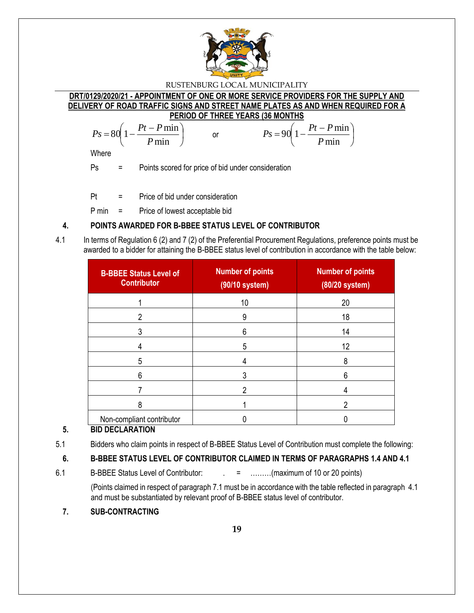

**DRT/0129/2020/21 - APPOINTMENT OF ONE OR MORE SERVICE PROVIDERS FOR THE SUPPLY AND DELIVERY OF ROAD TRAFFIC SIGNS AND STREET NAME PLATES AS AND WHEN REQUIRED FOR A PERIOD OF THREE YEARS (36 MONTHS**

$$
Ps = 80\left(1 - \frac{Pt - P\min P}{\min}\right) \qquad \text{or} \qquad \qquad Ps = 90\left(1 - \frac{Pt - P\min P}{\min}\right)
$$

**Where** 

Ps = Points scored for price of bid under consideration

Pt = Price of bid under consideration

P min = Price of lowest acceptable bid

# **4. POINTS AWARDED FOR B-BBEE STATUS LEVEL OF CONTRIBUTOR**

4.1 In terms of Regulation 6 (2) and 7 (2) of the Preferential Procurement Regulations, preference points must be awarded to a bidder for attaining the B-BBEE status level of contribution in accordance with the table below:

| <b>B-BBEE Status Level of</b><br><b>Contributor</b> | <b>Number of points</b><br>(90/10 system) | <b>Number of points</b><br>(80/20 system) |
|-----------------------------------------------------|-------------------------------------------|-------------------------------------------|
|                                                     | 10                                        | 20                                        |
| 2                                                   | 9                                         | 18                                        |
| 3                                                   | 6                                         | 14                                        |
|                                                     | 5                                         | 12                                        |
| 5                                                   | 4                                         | 8                                         |
| 6                                                   |                                           | 6                                         |
|                                                     |                                           |                                           |
| 8                                                   |                                           | າ                                         |
| Non-compliant contributor                           |                                           |                                           |

# **5. BID DECLARATION**

5.1 Bidders who claim points in respect of B-BBEE Status Level of Contribution must complete the following:

# **6. B-BBEE STATUS LEVEL OF CONTRIBUTOR CLAIMED IN TERMS OF PARAGRAPHS 1.4 AND 4.1**

6.1 B-BBEE Status Level of Contributor:  $\qquad \qquad = \qquad \qquad \qquad$  .........(maximum of 10 or 20 points)

(Points claimed in respect of paragraph 7.1 must be in accordance with the table reflected in paragraph 4.1 and must be substantiated by relevant proof of B-BBEE status level of contributor.

**7. SUB-CONTRACTING**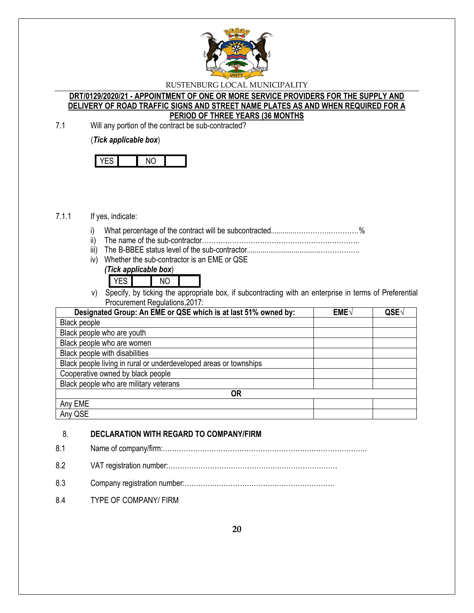

## **DRT/0129/2020/21 - APPOINTMENT OF ONE OR MORE SERVICE PROVIDERS FOR THE SUPPLY AND DELIVERY OF ROAD TRAFFIC SIGNS AND STREET NAME PLATES AS AND WHEN REQUIRED FOR A PERIOD OF THREE YEARS (36 MONTHS**

7.1 Will any portion of the contract be sub-contracted?

(*Tick applicable box*)

## 7.1.1 If yes, indicate:

- i) What percentage of the contract will be subcontracted............…………….…………%
- ii) The name of the sub-contractor…………………………………………………………..
- iii) The B-BBEE status level of the sub-contractor......................................……………..
- iv) Whether the sub-contractor is an EME or QSE *(Tick applicable box*)

| -- | . |  |
|----|---|--|

v) Specify, by ticking the appropriate box, if subcontracting with an enterprise in terms of Preferential Procurement Regulations,2017:

| Designated Group: An EME or QSE which is at last 51% owned by:    | $EME\sqrt{}$ | QSE <sub>V</sub> |
|-------------------------------------------------------------------|--------------|------------------|
| Black people                                                      |              |                  |
| Black people who are youth                                        |              |                  |
| Black people who are women                                        |              |                  |
| Black people with disabilities                                    |              |                  |
| Black people living in rural or underdeveloped areas or townships |              |                  |
| Cooperative owned by black people                                 |              |                  |
| Black people who are military veterans                            |              |                  |
| <b>OR</b>                                                         |              |                  |
| Any EME                                                           |              |                  |
| Any QSE                                                           |              |                  |

# 8. **DECLARATION WITH REGARD TO COMPANY/FIRM**

8.1 Name of company/firm:…………………………………………………………………………….

- 8.2 VAT registration number:……………………………………….………………………
- 8.3 Company registration number:………….……………………….……………………
- 8.4 TYPE OF COMPANY/ FIRM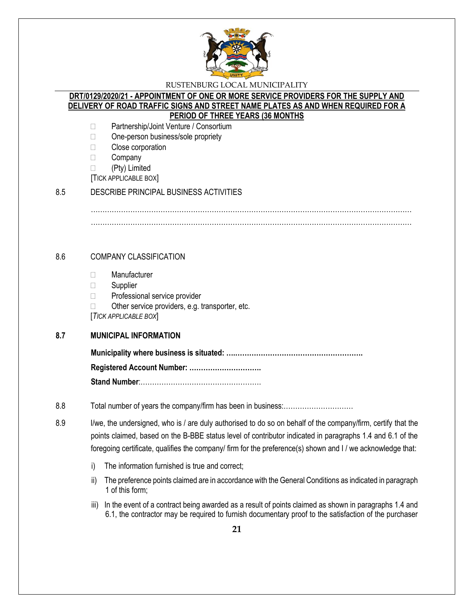

## **DRT/0129/2020/21 - APPOINTMENT OF ONE OR MORE SERVICE PROVIDERS FOR THE SUPPLY AND DELIVERY OF ROAD TRAFFIC SIGNS AND STREET NAME PLATES AS AND WHEN REQUIRED FOR A PERIOD OF THREE YEARS (36 MONTHS**

- □ Partnership/Joint Venture / Consortium
- □ One-person business/sole propriety
- □ Close corporation
- **Company**
- (Pty) Limited
- [TICK APPLICABLE BOX]

## 8.5 DESCRIBE PRINCIPAL BUSINESS ACTIVITIES

………………………………………………………………………………………………………………………… …………………………………………………………………………………………………………………………

## 8.6 COMPANY CLASSIFICATION

- Manufacturer
- □ Supplier
- □ Professional service provider
- $\Box$  Other service providers, e.g. transporter, etc.

[*TICK APPLICABLE BOX*]

## **8.7 MUNICIPAL INFORMATION**

**Municipality where business is situated: ….………………………………………………. Registered Account Number: ………………………….**

**Stand Number**:…………………………………………….

- 8.8 Total number of years the company/firm has been in business:…………………………
- 8.9 I/we, the undersigned, who is / are duly authorised to do so on behalf of the company/firm, certify that the points claimed, based on the B-BBE status level of contributor indicated in paragraphs 1.4 and 6.1 of the foregoing certificate, qualifies the company/ firm for the preference(s) shown and I / we acknowledge that:
	- i) The information furnished is true and correct;
	- ii) The preference points claimed are in accordance with the General Conditions as indicated in paragraph 1 of this form;
	- iii) In the event of a contract being awarded as a result of points claimed as shown in paragraphs 1.4 and 6.1, the contractor may be required to furnish documentary proof to the satisfaction of the purchaser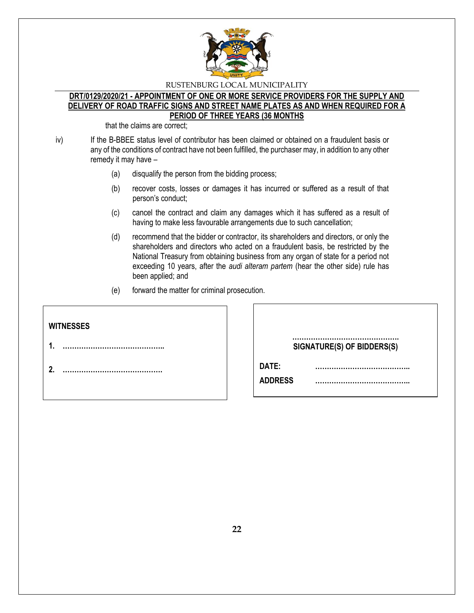

### **DRT/0129/2020/21 - APPOINTMENT OF ONE OR MORE SERVICE PROVIDERS FOR THE SUPPLY AND DELIVERY OF ROAD TRAFFIC SIGNS AND STREET NAME PLATES AS AND WHEN REQUIRED FOR A PERIOD OF THREE YEARS (36 MONTHS**

that the claims are correct;

iv) If the B-BBEE status level of contributor has been claimed or obtained on a fraudulent basis or any of the conditions of contract have not been fulfilled, the purchaser may, in addition to any other remedy it may have –

- (a) disqualify the person from the bidding process;
- (b) recover costs, losses or damages it has incurred or suffered as a result of that person's conduct;
- (c) cancel the contract and claim any damages which it has suffered as a result of having to make less favourable arrangements due to such cancellation;
- (d) recommend that the bidder or contractor, its shareholders and directors, or only the shareholders and directors who acted on a fraudulent basis, be restricted by the National Treasury from obtaining business from any organ of state for a period not exceeding 10 years, after the *audi alteram partem* (hear the other side) rule has been applied; and
- (e) forward the matter for criminal prosecution.

| <b>WITNESSES</b> |                            |
|------------------|----------------------------|
|                  | SIGNATURE(S) OF BIDDERS(S) |
| ົ                | DATE:<br><b>ADDRESS</b>    |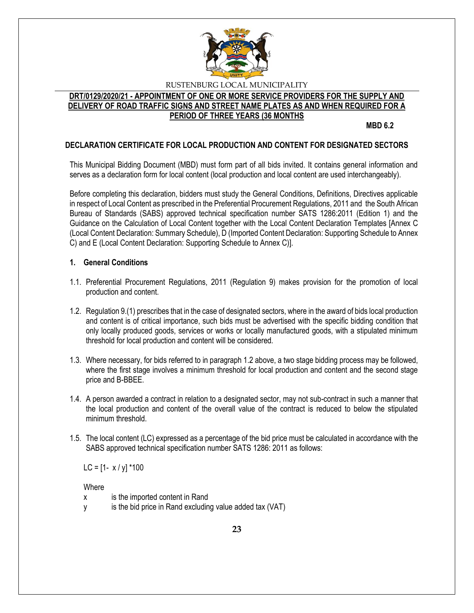

# **DRT/0129/2020/21 - APPOINTMENT OF ONE OR MORE SERVICE PROVIDERS FOR THE SUPPLY AND DELIVERY OF ROAD TRAFFIC SIGNS AND STREET NAME PLATES AS AND WHEN REQUIRED FOR A PERIOD OF THREE YEARS (36 MONTHS**

**MBD 6.2**

# **DECLARATION CERTIFICATE FOR LOCAL PRODUCTION AND CONTENT FOR DESIGNATED SECTORS**

This Municipal Bidding Document (MBD) must form part of all bids invited. It contains general information and serves as a declaration form for local content (local production and local content are used interchangeably).

Before completing this declaration, bidders must study the General Conditions, Definitions, Directives applicable in respect of Local Content as prescribed in the Preferential Procurement Regulations, 2011 and the South African Bureau of Standards (SABS) approved technical specification number SATS 1286:2011 (Edition 1) and the Guidance on the Calculation of Local Content together with the Local Content Declaration Templates [Annex C (Local Content Declaration: Summary Schedule), D (Imported Content Declaration: Supporting Schedule to Annex C) and E (Local Content Declaration: Supporting Schedule to Annex C)].

## **1. General Conditions**

- 1.1. Preferential Procurement Regulations, 2011 (Regulation 9) makes provision for the promotion of local production and content.
- 1.2. Regulation 9.(1) prescribes that in the case of designated sectors, where in the award of bids local production and content is of critical importance, such bids must be advertised with the specific bidding condition that only locally produced goods, services or works or locally manufactured goods, with a stipulated minimum threshold for local production and content will be considered.
- 1.3. Where necessary, for bids referred to in paragraph 1.2 above, a two stage bidding process may be followed, where the first stage involves a minimum threshold for local production and content and the second stage price and B-BBEE.
- 1.4. A person awarded a contract in relation to a designated sector, may not sub-contract in such a manner that the local production and content of the overall value of the contract is reduced to below the stipulated minimum threshold.
- 1.5. The local content (LC) expressed as a percentage of the bid price must be calculated in accordance with the SABS approved technical specification number SATS 1286: 2011 as follows:

LC =  $[1 - x / y]$  \*100

**Where** 

- x is the imported content in Rand
- y is the bid price in Rand excluding value added tax (VAT)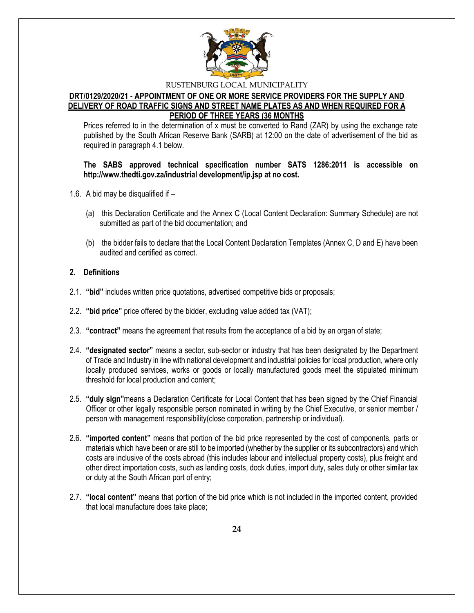

## **DRT/0129/2020/21 - APPOINTMENT OF ONE OR MORE SERVICE PROVIDERS FOR THE SUPPLY AND DELIVERY OF ROAD TRAFFIC SIGNS AND STREET NAME PLATES AS AND WHEN REQUIRED FOR A PERIOD OF THREE YEARS (36 MONTHS**

Prices referred to in the determination of x must be converted to Rand (ZAR) by using the exchange rate published by the South African Reserve Bank (SARB) at 12:00 on the date of advertisement of the bid as required in paragraph 4.1 below.

## **The SABS approved technical specification number SATS 1286:2011 is accessible on http://www.thedti.gov.za/industrial development/ip.jsp at no cost.**

- 1.6. A bid may be disqualified if
	- (a) this Declaration Certificate and the Annex C (Local Content Declaration: Summary Schedule) are not submitted as part of the bid documentation; and
	- (b) the bidder fails to declare that the Local Content Declaration Templates (Annex C, D and E) have been audited and certified as correct.

# **2. Definitions**

- 2.1. **"bid"** includes written price quotations, advertised competitive bids or proposals;
- 2.2. **"bid price"** price offered by the bidder, excluding value added tax (VAT);
- 2.3. **"contract"** means the agreement that results from the acceptance of a bid by an organ of state;
- 2.4. **"designated sector"** means a sector, sub-sector or industry that has been designated by the Department of Trade and Industry in line with national development and industrial policies for local production, where only locally produced services, works or goods or locally manufactured goods meet the stipulated minimum threshold for local production and content;
- 2.5. **"duly sign"**means a Declaration Certificate for Local Content that has been signed by the Chief Financial Officer or other legally responsible person nominated in writing by the Chief Executive, or senior member / person with management responsibility(close corporation, partnership or individual).
- 2.6. **"imported content"** means that portion of the bid price represented by the cost of components, parts or materials which have been or are still to be imported (whether by the supplier or its subcontractors) and which costs are inclusive of the costs abroad (this includes labour and intellectual property costs), plus freight and other direct importation costs, such as landing costs, dock duties, import duty, sales duty or other similar tax or duty at the South African port of entry;
- 2.7. **"local content"** means that portion of the bid price which is not included in the imported content, provided that local manufacture does take place;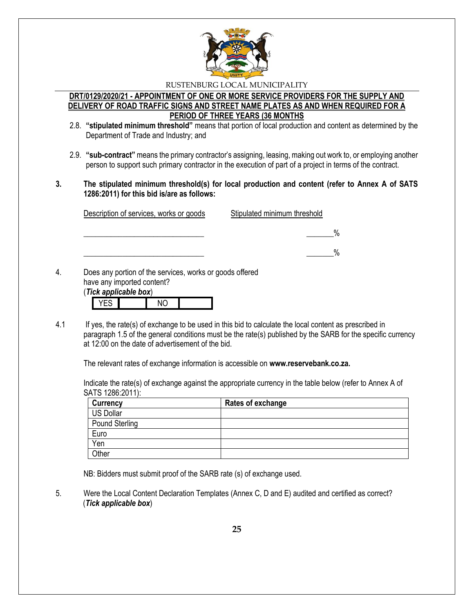

## **DRT/0129/2020/21 - APPOINTMENT OF ONE OR MORE SERVICE PROVIDERS FOR THE SUPPLY AND DELIVERY OF ROAD TRAFFIC SIGNS AND STREET NAME PLATES AS AND WHEN REQUIRED FOR A PERIOD OF THREE YEARS (36 MONTHS**

- 2.8. **"stipulated minimum threshold"** means that portion of local production and content as determined by the Department of Trade and Industry; and
- 2.9. **"sub-contract"** means the primary contractor's assigning, leasing, making out work to, or employing another person to support such primary contractor in the execution of part of a project in terms of the contract.
- **3. The stipulated minimum threshold(s) for local production and content (refer to Annex A of SATS 1286:2011) for this bid is/are as follows:**

| Description of services, works or goods | Stipulated minimum threshold |
|-----------------------------------------|------------------------------|
|                                         | $\%$                         |
|                                         | %                            |

have any imported content? (*Tick applicable box*)

|  | <b>IUR ANNIIUANIG NUAI</b> |  |
|--|----------------------------|--|
|  |                            |  |

4.1 If yes, the rate(s) of exchange to be used in this bid to calculate the local content as prescribed in paragraph 1.5 of the general conditions must be the rate(s) published by the SARB for the specific currency at 12:00 on the date of advertisement of the bid.

The relevant rates of exchange information is accessible on **www.reservebank.co.za.**

Indicate the rate(s) of exchange against the appropriate currency in the table below (refer to Annex A of SATS 1286:2011):

| <b>Currency</b> | Rates of exchange |
|-----------------|-------------------|
| US Dollar       |                   |
| Pound Sterling  |                   |
| Euro            |                   |
| Yen             |                   |
| <b>Other</b>    |                   |

NB: Bidders must submit proof of the SARB rate (s) of exchange used.

5. Were the Local Content Declaration Templates (Annex C, D and E) audited and certified as correct? (*Tick applicable box*)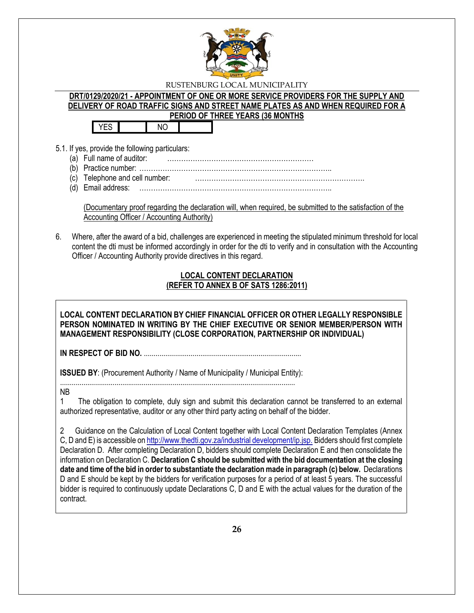

# **DRT/0129/2020/21 - APPOINTMENT OF ONE OR MORE SERVICE PROVIDERS FOR THE SUPPLY AND DELIVERY OF ROAD TRAFFIC SIGNS AND STREET NAME PLATES AS AND WHEN REQUIRED FOR A PERIOD OF THREE YEARS (36 MONTHS**

YES NO

- 5.1. If yes, provide the following particulars:
	- (a) Full name of auditor: ………………………………………………………
	- (b) Practice number: ………………………………………………………………………..
	- (c) Telephone and cell number: ……………………………………………………………….
	- (d) Email address: ………………………………………………………………………..

(Documentary proof regarding the declaration will, when required, be submitted to the satisfaction of the Accounting Officer / Accounting Authority)

6. Where, after the award of a bid, challenges are experienced in meeting the stipulated minimum threshold for local content the dti must be informed accordingly in order for the dti to verify and in consultation with the Accounting Officer / Accounting Authority provide directives in this regard.

# **LOCAL CONTENT DECLARATION (REFER TO ANNEX B OF SATS 1286:2011)**

**LOCAL CONTENT DECLARATION BY CHIEF FINANCIAL OFFICER OR OTHER LEGALLY RESPONSIBLE PERSON NOMINATED IN WRITING BY THE CHIEF EXECUTIVE OR SENIOR MEMBER/PERSON WITH MANAGEMENT RESPONSIBILITY (CLOSE CORPORATION, PARTNERSHIP OR INDIVIDUAL)** 

**IN RESPECT OF BID NO.** .................................................................................

**ISSUED BY:** (Procurement Authority / Name of Municipality / Municipal Entity):

......................................................................................................................... NB

1 The obligation to complete, duly sign and submit this declaration cannot be transferred to an external authorized representative, auditor or any other third party acting on behalf of the bidder.

2 Guidance on the Calculation of Local Content together with Local Content Declaration Templates (Annex C, D and E) is accessible o[n http://www.thedti.gov.za/industrial development/ip.jsp.](http://www.thedti.gov.za/industrial%20development/ip.jsp.) Bidders should first complete Declaration D. After completing Declaration D, bidders should complete Declaration E and then consolidate the information on Declaration C. **Declaration C should be submitted with the bid documentation at the closing date and time of the bid in order to substantiate the declaration made in paragraph (c) below.** Declarations D and E should be kept by the bidders for verification purposes for a period of at least 5 years. The successful bidder is required to continuously update Declarations C, D and E with the actual values for the duration of the contract.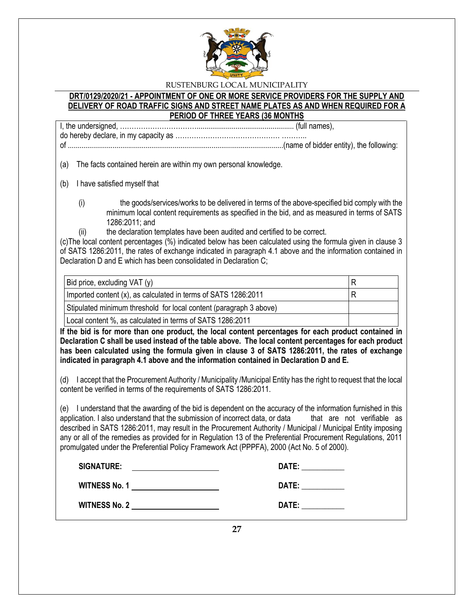

## **DRT/0129/2020/21 - APPOINTMENT OF ONE OR MORE SERVICE PROVIDERS FOR THE SUPPLY AND DELIVERY OF ROAD TRAFFIC SIGNS AND STREET NAME PLATES AS AND WHEN REQUIRED FOR A PERIOD OF THREE YEARS (36 MONTHS**

I, the undersigned, …………………………….................................................. (full names), do hereby declare, in my capacity as ……………………………………… ………..

of ...............................................................................................................(name of bidder entity), the following:

(a) The facts contained herein are within my own personal knowledge.

(b) I have satisfied myself that

- (i) the goods/services/works to be delivered in terms of the above-specified bid comply with the minimum local content requirements as specified in the bid, and as measured in terms of SATS 1286:2011; and
	- the declaration templates have been audited and certified to be correct.

(c)The local content percentages (%) indicated below has been calculated using the formula given in clause 3 of SATS 1286:2011, the rates of exchange indicated in paragraph 4.1 above and the information contained in Declaration D and E which has been consolidated in Declaration C;

| Bid price, excluding VAT (y)                                       |  |
|--------------------------------------------------------------------|--|
| Imported content (x), as calculated in terms of SATS 1286:2011     |  |
| Stipulated minimum threshold for local content (paragraph 3 above) |  |
| Local content %, as calculated in terms of SATS 1286:2011          |  |

**If the bid is for more than one product, the local content percentages for each product contained in Declaration C shall be used instead of the table above. The local content percentages for each product has been calculated using the formula given in clause 3 of SATS 1286:2011, the rates of exchange indicated in paragraph 4.1 above and the information contained in Declaration D and E.**

(d) I accept that the Procurement Authority / Municipality /Municipal Entity has the right to request that the local content be verified in terms of the requirements of SATS 1286:2011.

(e) I understand that the awarding of the bid is dependent on the accuracy of the information furnished in this application. I also understand that the submission of incorrect data, or data that are not verifiable as described in SATS 1286:2011, may result in the Procurement Authority / Municipal / Municipal Entity imposing any or all of the remedies as provided for in Regulation 13 of the Preferential Procurement Regulations, 2011 promulgated under the Preferential Policy Framework Act (PPPFA), 2000 (Act No. 5 of 2000).

| <b>SIGNATURE:</b>    | DATE: |
|----------------------|-------|
| <b>WITNESS No. 1</b> | DATE: |
| <b>WITNESS No. 2</b> | DATE: |

**27**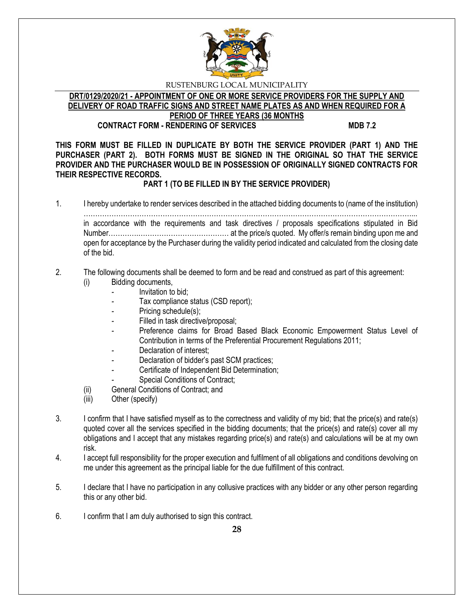

#### **DRT/0129/2020/21 - APPOINTMENT OF ONE OR MORE SERVICE PROVIDERS FOR THE SUPPLY AND DELIVERY OF ROAD TRAFFIC SIGNS AND STREET NAME PLATES AS AND WHEN REQUIRED FOR A PERIOD OF THREE YEARS (36 MONTHS CONTRACT FORM - RENDERING OF SERVICES MDB 7.2**

**THIS FORM MUST BE FILLED IN DUPLICATE BY BOTH THE SERVICE PROVIDER (PART 1) AND THE PURCHASER (PART 2). BOTH FORMS MUST BE SIGNED IN THE ORIGINAL SO THAT THE SERVICE PROVIDER AND THE PURCHASER WOULD BE IN POSSESSION OF ORIGINALLY SIGNED CONTRACTS FOR THEIR RESPECTIVE RECORDS.**

# **PART 1 (TO BE FILLED IN BY THE SERVICE PROVIDER)**

1. I hereby undertake to render services described in the attached bidding documents to (name of the institution)

……………………………………………………………………………………………………………………………... in accordance with the requirements and task directives / proposals specifications stipulated in Bid Number………….………………………………… at the price/s quoted. My offer/s remain binding upon me and open for acceptance by the Purchaser during the validity period indicated and calculated from the closing date of the bid.

# 2. The following documents shall be deemed to form and be read and construed as part of this agreement:

- (i) Bidding documents,
	- *-* Invitation to bid;
	- *-* Tax compliance status (CSD report);
	- Pricing schedule(s);
	- Filled in task directive/proposal;
	- Preference claims for Broad Based Black Economic Empowerment Status Level of Contribution in terms of the Preferential Procurement Regulations 2011;
	- *-* Declaration of interest;
	- *-* Declaration of bidder's past SCM practices;
	- *-* Certificate of Independent Bid Determination;
	- **Special Conditions of Contract;**
- (ii) General Conditions of Contract; and
- (iii) Other (specify)
- 3. I confirm that I have satisfied myself as to the correctness and validity of my bid; that the price(s) and rate(s) quoted cover all the services specified in the bidding documents; that the price(s) and rate(s) cover all my obligations and I accept that any mistakes regarding price(s) and rate(s) and calculations will be at my own risk.
- 4. I accept full responsibility for the proper execution and fulfilment of all obligations and conditions devolving on me under this agreement as the principal liable for the due fulfillment of this contract.
- 5. I declare that I have no participation in any collusive practices with any bidder or any other person regarding this or any other bid.
- 6. I confirm that I am duly authorised to sign this contract.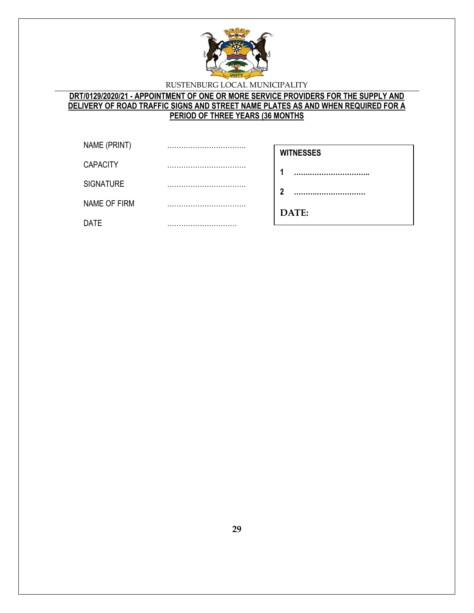

# **DRT/0129/2020/21 - APPOINTMENT OF ONE OR MORE SERVICE PROVIDERS FOR THE SUPPLY AND DELIVERY OF ROAD TRAFFIC SIGNS AND STREET NAME PLATES AS AND WHEN REQUIRED FOR A PERIOD OF THREE YEARS (36 MONTHS**

| NAME (PRINT)     | <br><b>WITNESSES</b> |
|------------------|----------------------|
| <b>CAPACITY</b>  |                      |
| <b>SIGNATURE</b> | <br>າ                |
| NAME OF FIRM     | <br>DATE:            |
| <b>DATE</b>      |                      |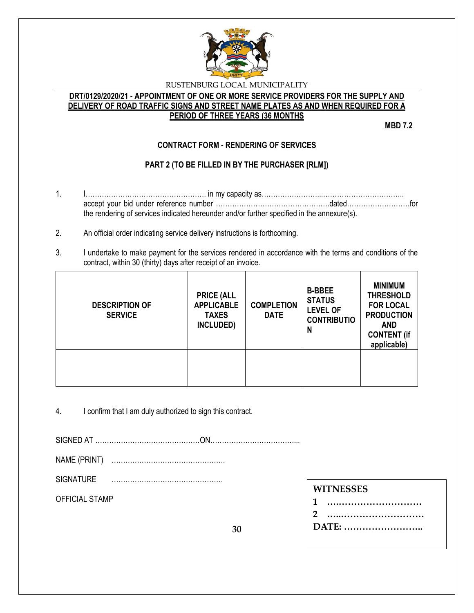

# **DRT/0129/2020/21 - APPOINTMENT OF ONE OR MORE SERVICE PROVIDERS FOR THE SUPPLY AND DELIVERY OF ROAD TRAFFIC SIGNS AND STREET NAME PLATES AS AND WHEN REQUIRED FOR A PERIOD OF THREE YEARS (36 MONTHS**

**MBD 7.2**

# **CONTRACT FORM - RENDERING OF SERVICES**

# **PART 2 (TO BE FILLED IN BY THE PURCHASER [RLM])**

- 1. I……………………………………………. in my capacity as……………………...…………………………….. accept your bid under reference number ………………………………………….dated………………………for the rendering of services indicated hereunder and/or further specified in the annexure(s).
- 2. An official order indicating service delivery instructions is forthcoming.
- 3. I undertake to make payment for the services rendered in accordance with the terms and conditions of the contract, within 30 (thirty) days after receipt of an invoice.

| <b>DESCRIPTION OF</b><br><b>SERVICE</b> | <b>PRICE (ALL</b><br><b>APPLICABLE</b><br><b>TAXES</b><br>INCLUDED) | <b>COMPLETION</b><br><b>DATE</b> | <b>B-BBEE</b><br><b>STATUS</b><br><b>LEVEL OF</b><br><b>CONTRIBUTIO</b><br>N | <b>MINIMUM</b><br><b>THRESHOLD</b><br><b>FOR LOCAL</b><br><b>PRODUCTION</b><br><b>AND</b><br><b>CONTENT (if</b><br>applicable) |
|-----------------------------------------|---------------------------------------------------------------------|----------------------------------|------------------------------------------------------------------------------|--------------------------------------------------------------------------------------------------------------------------------|
|                                         |                                                                     |                                  |                                                                              |                                                                                                                                |

4. I confirm that I am duly authorized to sign this contract.

SIGNED AT ………………………………………ON………………………………...

NAME (PRINT) ………………………………………….

SIGNATURE …………………………………………

OFFICIAL STAMP

# **WITNESSES**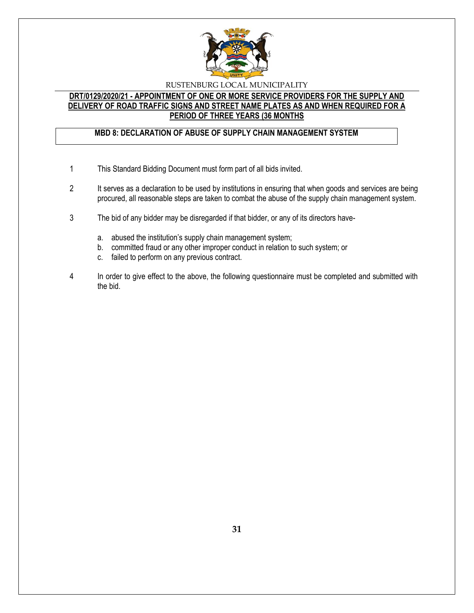

## **DRT/0129/2020/21 - APPOINTMENT OF ONE OR MORE SERVICE PROVIDERS FOR THE SUPPLY AND DELIVERY OF ROAD TRAFFIC SIGNS AND STREET NAME PLATES AS AND WHEN REQUIRED FOR A PERIOD OF THREE YEARS (36 MONTHS**

# **MBD 8: DECLARATION OF ABUSE OF SUPPLY CHAIN MANAGEMENT SYSTEM**

- 1 This Standard Bidding Document must form part of all bids invited.
- 2 It serves as a declaration to be used by institutions in ensuring that when goods and services are being procured, all reasonable steps are taken to combat the abuse of the supply chain management system.
- 3 The bid of any bidder may be disregarded if that bidder, or any of its directors have
	- a. abused the institution's supply chain management system;
	- b. committed fraud or any other improper conduct in relation to such system; or
	- c. failed to perform on any previous contract.
- 4 In order to give effect to the above, the following questionnaire must be completed and submitted with the bid.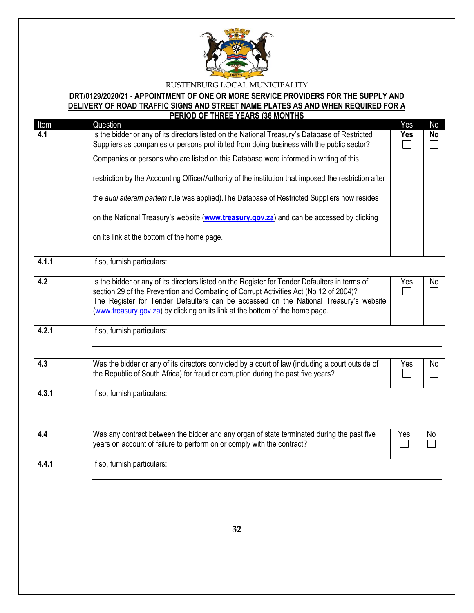

#### **DRT/0129/2020/21 - APPOINTMENT OF ONE OR MORE SERVICE PROVIDERS FOR THE SUPPLY AND DELIVERY OF ROAD TRAFFIC SIGNS AND STREET NAME PLATES AS AND WHEN REQUIRED FOR A PERIOD OF THREE YEARS (36 MONTHS**

| Item             | <u>FENIUD UF THNEE TEANO 130 MUNTHO</u><br>Question                                                                                                                                                                                                                                                                                                               | Yes | No        |
|------------------|-------------------------------------------------------------------------------------------------------------------------------------------------------------------------------------------------------------------------------------------------------------------------------------------------------------------------------------------------------------------|-----|-----------|
| 4.1              | Is the bidder or any of its directors listed on the National Treasury's Database of Restricted<br>Suppliers as companies or persons prohibited from doing business with the public sector?                                                                                                                                                                        | Yes | <b>No</b> |
|                  | Companies or persons who are listed on this Database were informed in writing of this                                                                                                                                                                                                                                                                             |     |           |
|                  | restriction by the Accounting Officer/Authority of the institution that imposed the restriction after                                                                                                                                                                                                                                                             |     |           |
|                  | the audi alteram partem rule was applied). The Database of Restricted Suppliers now resides                                                                                                                                                                                                                                                                       |     |           |
|                  | on the National Treasury's website (www.treasury.gov.za) and can be accessed by clicking                                                                                                                                                                                                                                                                          |     |           |
|                  | on its link at the bottom of the home page.                                                                                                                                                                                                                                                                                                                       |     |           |
| 4.1.1            | If so, furnish particulars:                                                                                                                                                                                                                                                                                                                                       |     |           |
| $\overline{4.2}$ | Is the bidder or any of its directors listed on the Register for Tender Defaulters in terms of<br>section 29 of the Prevention and Combating of Corrupt Activities Act (No 12 of 2004)?<br>The Register for Tender Defaulters can be accessed on the National Treasury's website<br>(www.treasury.gov.za) by clicking on its link at the bottom of the home page. | Yes | No        |
| 4.2.1            | If so, furnish particulars:                                                                                                                                                                                                                                                                                                                                       |     |           |
| 4.3              | Was the bidder or any of its directors convicted by a court of law (including a court outside of<br>the Republic of South Africa) for fraud or corruption during the past five years?                                                                                                                                                                             | Yes | No        |
| 4.3.1            | If so, furnish particulars:                                                                                                                                                                                                                                                                                                                                       |     |           |
| 4.4              | Was any contract between the bidder and any organ of state terminated during the past five<br>years on account of failure to perform on or comply with the contract?                                                                                                                                                                                              | Yes | No        |
| 4.4.1            | If so, furnish particulars:                                                                                                                                                                                                                                                                                                                                       |     |           |
|                  |                                                                                                                                                                                                                                                                                                                                                                   |     |           |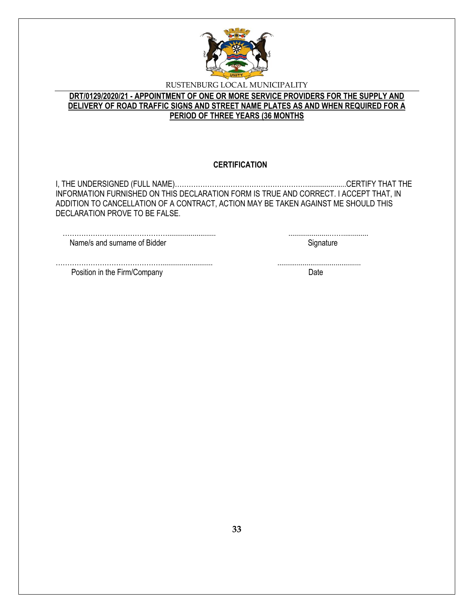

# **DRT/0129/2020/21 - APPOINTMENT OF ONE OR MORE SERVICE PROVIDERS FOR THE SUPPLY AND DELIVERY OF ROAD TRAFFIC SIGNS AND STREET NAME PLATES AS AND WHEN REQUIRED FOR A PERIOD OF THREE YEARS (36 MONTHS**

## **CERTIFICATION**

I, THE UNDERSIGNED (FULL NAME)…………………………………………………....................CERTIFY THAT THE INFORMATION FURNISHED ON THIS DECLARATION FORM IS TRUE AND CORRECT. I ACCEPT THAT, IN ADDITION TO CANCELLATION OF A CONTRACT, ACTION MAY BE TAKEN AGAINST ME SHOULD THIS DECLARATION PROVE TO BE FALSE.

………………………………………......................... .....................……............. Name/s and surname of Bidder Signature Signature

Position in the Firm/Company Date Date

………………………………………........................... ...........................................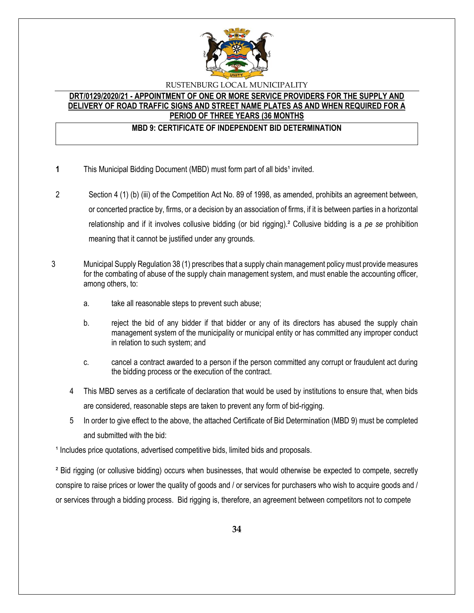

## **DRT/0129/2020/21 - APPOINTMENT OF ONE OR MORE SERVICE PROVIDERS FOR THE SUPPLY AND DELIVERY OF ROAD TRAFFIC SIGNS AND STREET NAME PLATES AS AND WHEN REQUIRED FOR A PERIOD OF THREE YEARS (36 MONTHS**

# **MBD 9: CERTIFICATE OF INDEPENDENT BID DETERMINATION**

- **1** This Municipal Bidding Document (MBD) must form part of all bids<sup>1</sup> invited.
- 2 Section 4 (1) (b) (iii) of the Competition Act No. 89 of 1998, as amended, prohibits an agreement between, or concerted practice by, firms, or a decision by an association of firms, if it is between parties in a horizontal relationship and if it involves collusive bidding (or bid rigging).² Collusive bidding is a *pe se* prohibition meaning that it cannot be justified under any grounds.
- 3 Municipal Supply Regulation 38 (1) prescribes that a supply chain management policy must provide measures for the combating of abuse of the supply chain management system, and must enable the accounting officer, among others, to:
	- a. take all reasonable steps to prevent such abuse;
	- b. reject the bid of any bidder if that bidder or any of its directors has abused the supply chain management system of the municipality or municipal entity or has committed any improper conduct in relation to such system; and
	- c. cancel a contract awarded to a person if the person committed any corrupt or fraudulent act during the bidding process or the execution of the contract.
	- 4 This MBD serves as a certificate of declaration that would be used by institutions to ensure that, when bids are considered, reasonable steps are taken to prevent any form of bid-rigging.
	- 5 In order to give effect to the above, the attached Certificate of Bid Determination (MBD 9) must be completed and submitted with the bid:

<sup>1</sup> Includes price quotations, advertised competitive bids, limited bids and proposals.

² Bid rigging (or collusive bidding) occurs when businesses, that would otherwise be expected to compete, secretly conspire to raise prices or lower the quality of goods and / or services for purchasers who wish to acquire goods and / or services through a bidding process. Bid rigging is, therefore, an agreement between competitors not to compete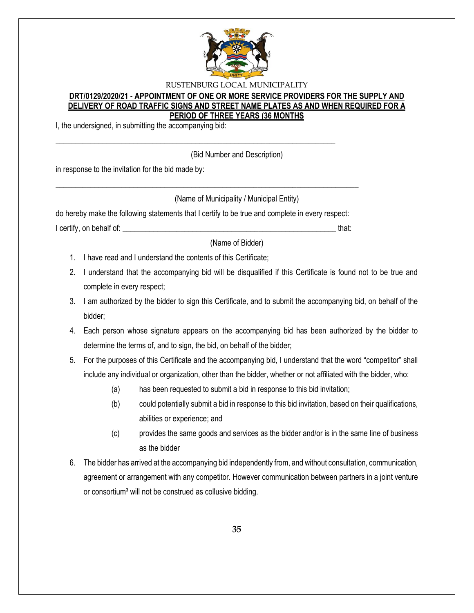

## **DRT/0129/2020/21 - APPOINTMENT OF ONE OR MORE SERVICE PROVIDERS FOR THE SUPPLY AND DELIVERY OF ROAD TRAFFIC SIGNS AND STREET NAME PLATES AS AND WHEN REQUIRED FOR A PERIOD OF THREE YEARS (36 MONTHS**

I, the undersigned, in submitting the accompanying bid:

(Bid Number and Description)

in response to the invitation for the bid made by:

(Name of Municipality / Municipal Entity)

do hereby make the following statements that I certify to be true and complete in every respect:

\_\_\_\_\_\_\_\_\_\_\_\_\_\_\_\_\_\_\_\_\_\_\_\_\_\_\_\_\_\_\_\_\_\_\_\_\_\_\_\_\_\_\_\_\_\_\_\_\_\_\_\_\_\_\_\_\_\_\_\_\_\_\_\_\_\_\_\_\_\_\_\_\_\_\_\_\_\_

\_\_\_\_\_\_\_\_\_\_\_\_\_\_\_\_\_\_\_\_\_\_\_\_\_\_\_\_\_\_\_\_\_\_\_\_\_\_\_\_\_\_\_\_\_\_\_\_\_\_\_\_\_\_\_\_\_\_\_\_\_\_\_\_\_\_\_\_\_\_\_\_

I certify, on behalf of: that:  $\blacksquare$ 

(Name of Bidder)

- 1. I have read and I understand the contents of this Certificate;
- 2. I understand that the accompanying bid will be disqualified if this Certificate is found not to be true and complete in every respect;
- 3. I am authorized by the bidder to sign this Certificate, and to submit the accompanying bid, on behalf of the bidder;
- 4. Each person whose signature appears on the accompanying bid has been authorized by the bidder to determine the terms of, and to sign, the bid, on behalf of the bidder;
- 5. For the purposes of this Certificate and the accompanying bid, I understand that the word "competitor" shall include any individual or organization, other than the bidder, whether or not affiliated with the bidder, who:
	- (a) has been requested to submit a bid in response to this bid invitation;
	- (b) could potentially submit a bid in response to this bid invitation, based on their qualifications, abilities or experience; and
	- (c) provides the same goods and services as the bidder and/or is in the same line of business as the bidder
- 6. The bidder has arrived at the accompanying bid independently from, and without consultation, communication, agreement or arrangement with any competitor. However communication between partners in a joint venture or consortium<sup>3</sup> will not be construed as collusive bidding.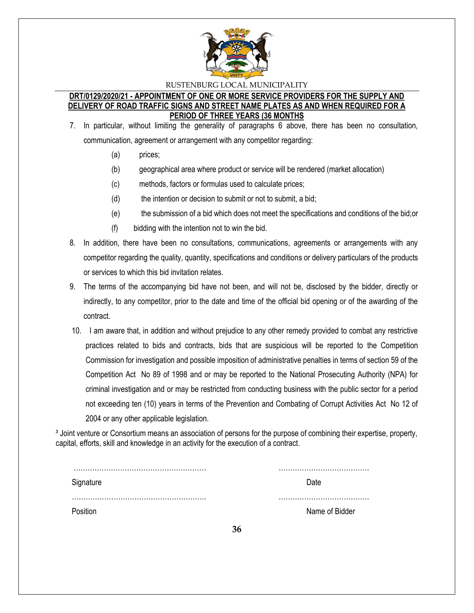

## **DRT/0129/2020/21 - APPOINTMENT OF ONE OR MORE SERVICE PROVIDERS FOR THE SUPPLY AND DELIVERY OF ROAD TRAFFIC SIGNS AND STREET NAME PLATES AS AND WHEN REQUIRED FOR A PERIOD OF THREE YEARS (36 MONTHS**

- 7. In particular, without limiting the generality of paragraphs 6 above, there has been no consultation, communication, agreement or arrangement with any competitor regarding:
	- (a) prices;
	- (b) geographical area where product or service will be rendered (market allocation)
	- (c) methods, factors or formulas used to calculate prices;
	- (d) the intention or decision to submit or not to submit, a bid;
	- (e) the submission of a bid which does not meet the specifications and conditions of the bid;or
	- (f) bidding with the intention not to win the bid.
- 8. In addition, there have been no consultations, communications, agreements or arrangements with any competitor regarding the quality, quantity, specifications and conditions or delivery particulars of the products or services to which this bid invitation relates.
- 9. The terms of the accompanying bid have not been, and will not be, disclosed by the bidder, directly or indirectly, to any competitor, prior to the date and time of the official bid opening or of the awarding of the contract.
- 10. I am aware that, in addition and without prejudice to any other remedy provided to combat any restrictive practices related to bids and contracts, bids that are suspicious will be reported to the Competition Commission for investigation and possible imposition of administrative penalties in terms of section 59 of the Competition Act No 89 of 1998 and or may be reported to the National Prosecuting Authority (NPA) for criminal investigation and or may be restricted from conducting business with the public sector for a period not exceeding ten (10) years in terms of the Prevention and Combating of Corrupt Activities Act No 12 of 2004 or any other applicable legislation.

<sup>3</sup> Joint venture or Consortium means an association of persons for the purpose of combining their expertise, property, capital, efforts, skill and knowledge in an activity for the execution of a contract.

| Signature | Nate           |
|-----------|----------------|
|           | Name of Bidder |

**36**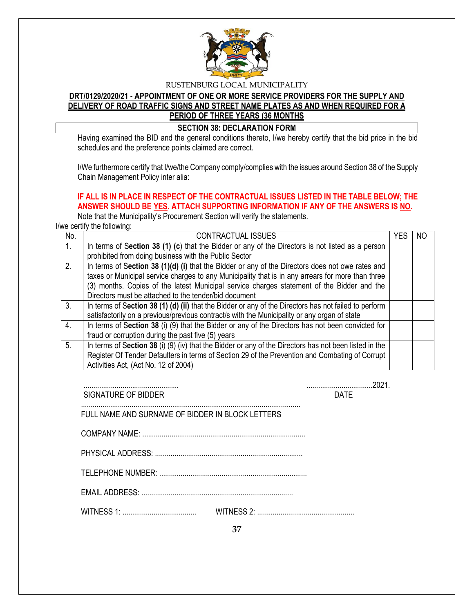

# **DRT/0129/2020/21 - APPOINTMENT OF ONE OR MORE SERVICE PROVIDERS FOR THE SUPPLY AND DELIVERY OF ROAD TRAFFIC SIGNS AND STREET NAME PLATES AS AND WHEN REQUIRED FOR A PERIOD OF THREE YEARS (36 MONTHS**

## **SECTION 38: DECLARATION FORM**

Having examined the BID and the general conditions thereto, I/we hereby certify that the bid price in the bid schedules and the preference points claimed are correct.

I/We furthermore certify that I/we/the Company comply/complies with the issues around Section 38 of the Supply Chain Management Policy inter alia:

# **IF ALL IS IN PLACE IN RESPECT OF THE CONTRACTUAL ISSUES LISTED IN THE TABLE BELOW; THE ANSWER SHOULD BE YES. ATTACH SUPPORTING INFORMATION IF ANY OF THE ANSWERS IS NO.**

Note that the Municipality's Procurement Section will verify the statements.

I/we certify the following:

| No.            | <b>CONTRACTUAL ISSUES</b>                                                                              | YES | ΝO |
|----------------|--------------------------------------------------------------------------------------------------------|-----|----|
| 1 <sub>1</sub> | In terms of Section 38 (1) (c) that the Bidder or any of the Directors is not listed as a person       |     |    |
|                | prohibited from doing business with the Public Sector                                                  |     |    |
| 2.             | In terms of Section 38 (1)(d) (i) that the Bidder or any of the Directors does not owe rates and       |     |    |
|                | taxes or Municipal service charges to any Municipality that is in any arrears for more than three      |     |    |
|                | (3) months. Copies of the latest Municipal service charges statement of the Bidder and the             |     |    |
|                | Directors must be attached to the tender/bid document                                                  |     |    |
| 3.             | In terms of Section 38 (1) (d) (ii) that the Bidder or any of the Directors has not failed to perform  |     |    |
|                | satisfactorily on a previous/previous contract/s with the Municipality or any organ of state           |     |    |
| 4.             | In terms of Section 38 (i) (9) that the Bidder or any of the Directors has not been convicted for      |     |    |
|                | fraud or corruption during the past five (5) years                                                     |     |    |
| 5.             | In terms of Section 38 (i) (9) (iv) that the Bidder or any of the Directors has not been listed in the |     |    |
|                | Register Of Tender Defaulters in terms of Section 29 of the Prevention and Combating of Corrupt        |     |    |
|                | Activities Act, (Act No. 12 of 2004)                                                                   |     |    |

SIGNATURE OF BIDDER **DATE** 

................................................. ..................................2021.

 ................................................................................................................. FULL NAME AND SURNAME OF BIDDER IN BLOCK LETTERS

COMPANY NAME: ....................................................................................

PHYSICAL ADDRESS: ............................................................................

TELEPHONE NUMBER: ............................................................................

EMAIL ADDRESS: ..............................................................................

WITNESS 1: ...................................... WITNESS 2: ..................................................

**37**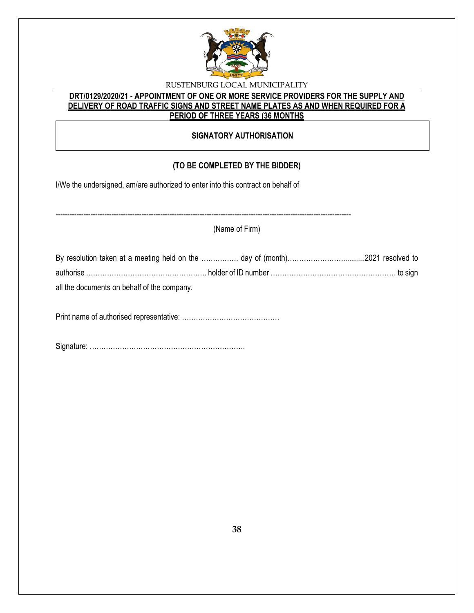

# **DRT/0129/2020/21 - APPOINTMENT OF ONE OR MORE SERVICE PROVIDERS FOR THE SUPPLY AND DELIVERY OF ROAD TRAFFIC SIGNS AND STREET NAME PLATES AS AND WHEN REQUIRED FOR A PERIOD OF THREE YEARS (36 MONTHS**

# **SIGNATORY AUTHORISATION**

# **(TO BE COMPLETED BY THE BIDDER)**

I/We the undersigned, am/are authorized to enter into this contract on behalf of

-------------------------------------------------------------------------------------------------------------------------------

(Name of Firm)

| all the documents on behalf of the company. |  |
|---------------------------------------------|--|

Print name of authorised representative: ……………………………………

Signature: ………………………………………………………….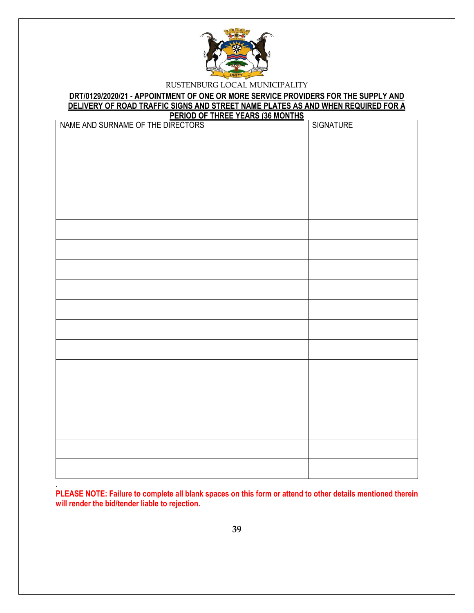

#### **DRT/0129/2020/21 - APPOINTMENT OF ONE OR MORE SERVICE PROVIDERS FOR THE SUPPLY AND DELIVERY OF ROAD TRAFFIC SIGNS AND STREET NAME PLATES AS AND WHEN REQUIRED FOR A PERIOD OF THREE YEARS (36 MONTHS**

| NAME AND SURNAME OF THE DIRECTORS<br><u> 1112</u> | <b>SIGNATURE</b> |
|---------------------------------------------------|------------------|
|                                                   |                  |
|                                                   |                  |
|                                                   |                  |
|                                                   |                  |
|                                                   |                  |
|                                                   |                  |
|                                                   |                  |
|                                                   |                  |
|                                                   |                  |
|                                                   |                  |
|                                                   |                  |
|                                                   |                  |
|                                                   |                  |
|                                                   |                  |
|                                                   |                  |
|                                                   |                  |
|                                                   |                  |

**PLEASE NOTE: Failure to complete all blank spaces on this form or attend to other details mentioned therein will render the bid/tender liable to rejection.** 

.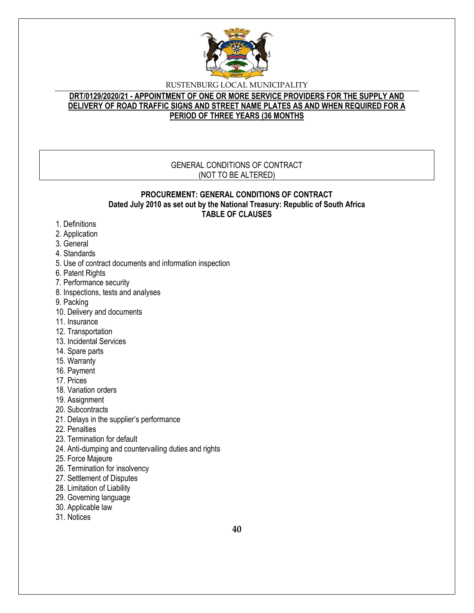

# **DRT/0129/2020/21 - APPOINTMENT OF ONE OR MORE SERVICE PROVIDERS FOR THE SUPPLY AND DELIVERY OF ROAD TRAFFIC SIGNS AND STREET NAME PLATES AS AND WHEN REQUIRED FOR A PERIOD OF THREE YEARS (36 MONTHS**

# GENERAL CONDITIONS OF CONTRACT (NOT TO BE ALTERED)

#### **PROCUREMENT: GENERAL CONDITIONS OF CONTRACT Dated July 2010 as set out by the National Treasury: Republic of South Africa TABLE OF CLAUSES**

- 1. Definitions
- 2. Application
- 3. General
- 4. Standards
- 5. Use of contract documents and information inspection
- 6. Patent Rights
- 7. Performance security
- 8. Inspections, tests and analyses
- 9. Packing
- 10. Delivery and documents
- 11. Insurance
- 12. Transportation
- 13. Incidental Services
- 14. Spare parts
- 15. Warranty
- 16. Payment
- 17. Prices
- 18. Variation orders
- 19. Assignment
- 20. Subcontracts
- 21. Delays in the supplier's performance
- 22. Penalties
- 23. Termination for default
- 24. Anti-dumping and countervailing duties and rights
- 25. Force Majeure
- 26. Termination for insolvency
- 27. Settlement of Disputes
- 28. Limitation of Liability
- 29. Governing language
- 30. Applicable law
- 31. Notices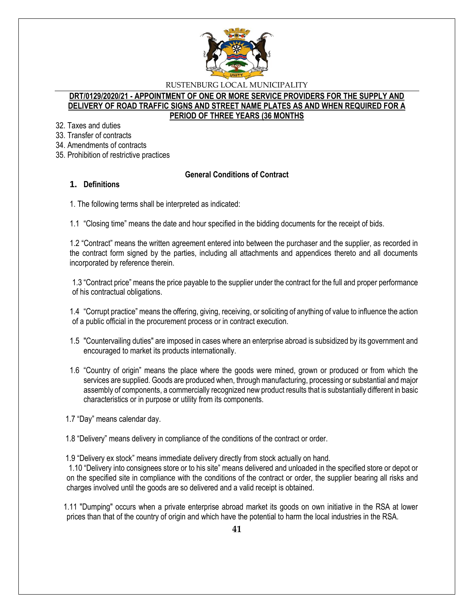

### **DRT/0129/2020/21 - APPOINTMENT OF ONE OR MORE SERVICE PROVIDERS FOR THE SUPPLY AND DELIVERY OF ROAD TRAFFIC SIGNS AND STREET NAME PLATES AS AND WHEN REQUIRED FOR A PERIOD OF THREE YEARS (36 MONTHS**

- 32. Taxes and duties
- 33. Transfer of contracts
- 34. Amendments of contracts
- 35. Prohibition of restrictive practices

# **General Conditions of Contract**

# **1. Definitions**

1. The following terms shall be interpreted as indicated:

1.1 "Closing time" means the date and hour specified in the bidding documents for the receipt of bids.

1.2 "Contract" means the written agreement entered into between the purchaser and the supplier, as recorded in the contract form signed by the parties, including all attachments and appendices thereto and all documents incorporated by reference therein.

1.3 "Contract price" means the price payable to the supplier under the contract for the full and proper performance of his contractual obligations.

1.4 "Corrupt practice" means the offering, giving, receiving, or soliciting of anything of value to influence the action of a public official in the procurement process or in contract execution.

- 1.5 "Countervailing duties" are imposed in cases where an enterprise abroad is subsidized by its government and encouraged to market its products internationally.
- 1.6 "Country of origin" means the place where the goods were mined, grown or produced or from which the services are supplied. Goods are produced when, through manufacturing, processing or substantial and major assembly of components, a commercially recognized new product results that is substantially different in basic characteristics or in purpose or utility from its components.

1.7 "Day" means calendar day.

1.8 "Delivery" means delivery in compliance of the conditions of the contract or order.

1.9 "Delivery ex stock" means immediate delivery directly from stock actually on hand.

1.10 "Delivery into consignees store or to his site" means delivered and unloaded in the specified store or depot or on the specified site in compliance with the conditions of the contract or order, the supplier bearing all risks and charges involved until the goods are so delivered and a valid receipt is obtained.

 1.11 "Dumping" occurs when a private enterprise abroad market its goods on own initiative in the RSA at lower prices than that of the country of origin and which have the potential to harm the local industries in the RSA.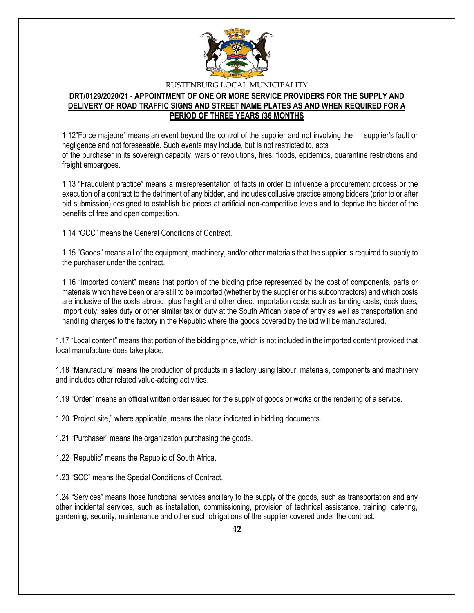

# **DRT/0129/2020/21 - APPOINTMENT OF ONE OR MORE SERVICE PROVIDERS FOR THE SUPPLY AND DELIVERY OF ROAD TRAFFIC SIGNS AND STREET NAME PLATES AS AND WHEN REQUIRED FOR A PERIOD OF THREE YEARS (36 MONTHS**

1.12"Force majeure" means an event beyond the control of the supplier and not involving the supplier's fault or negligence and not foreseeable. Such events may include, but is not restricted to, acts of the purchaser in its sovereign capacity, wars or revolutions, fires, floods, epidemics, quarantine restrictions and freight embargoes.

1.13 "Fraudulent practice" means a misrepresentation of facts in order to influence a procurement process or the execution of a contract to the detriment of any bidder, and includes collusive practice among bidders (prior to or after bid submission) designed to establish bid prices at artificial non-competitive levels and to deprive the bidder of the benefits of free and open competition.

1.14 "GCC" means the General Conditions of Contract.

1.15 "Goods" means all of the equipment, machinery, and/or other materials that the supplier is required to supply to the purchaser under the contract.

1.16 "Imported content" means that portion of the bidding price represented by the cost of components, parts or materials which have been or are still to be imported (whether by the supplier or his subcontractors) and which costs are inclusive of the costs abroad, plus freight and other direct importation costs such as landing costs, dock dues, import duty, sales duty or other similar tax or duty at the South African place of entry as well as transportation and handling charges to the factory in the Republic where the goods covered by the bid will be manufactured.

1.17 "Local content" means that portion of the bidding price, which is not included in the imported content provided that local manufacture does take place.

1.18 "Manufacture" means the production of products in a factory using labour, materials, components and machinery and includes other related value-adding activities.

1.19 "Order" means an official written order issued for the supply of goods or works or the rendering of a service.

1.20 "Project site," where applicable, means the place indicated in bidding documents.

1.21 "Purchaser" means the organization purchasing the goods.

1.22 "Republic" means the Republic of South Africa.

1.23 "SCC" means the Special Conditions of Contract.

1.24 "Services" means those functional services ancillary to the supply of the goods, such as transportation and any other incidental services, such as installation, commissioning, provision of technical assistance, training, catering, gardening, security, maintenance and other such obligations of the supplier covered under the contract.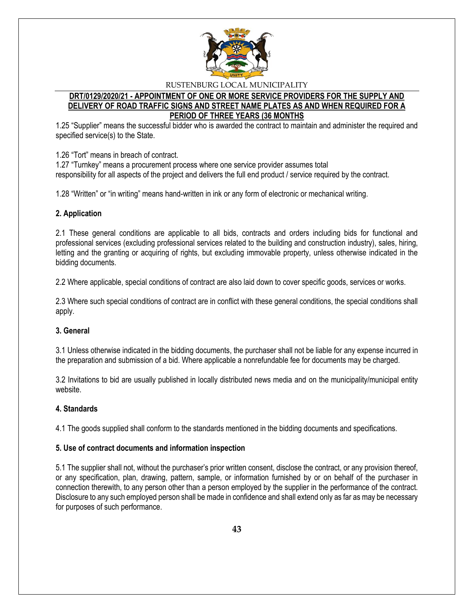

## **DRT/0129/2020/21 - APPOINTMENT OF ONE OR MORE SERVICE PROVIDERS FOR THE SUPPLY AND DELIVERY OF ROAD TRAFFIC SIGNS AND STREET NAME PLATES AS AND WHEN REQUIRED FOR A PERIOD OF THREE YEARS (36 MONTHS**

1.25 "Supplier" means the successful bidder who is awarded the contract to maintain and administer the required and specified service(s) to the State.

1.26 "Tort" means in breach of contract.

1.27 "Turnkey" means a procurement process where one service provider assumes total responsibility for all aspects of the project and delivers the full end product / service required by the contract.

1.28 "Written" or "in writing" means hand-written in ink or any form of electronic or mechanical writing.

## **2. Application**

2.1 These general conditions are applicable to all bids, contracts and orders including bids for functional and professional services (excluding professional services related to the building and construction industry), sales, hiring, letting and the granting or acquiring of rights, but excluding immovable property, unless otherwise indicated in the bidding documents.

2.2 Where applicable, special conditions of contract are also laid down to cover specific goods, services or works.

2.3 Where such special conditions of contract are in conflict with these general conditions, the special conditions shall apply.

## **3. General**

3.1 Unless otherwise indicated in the bidding documents, the purchaser shall not be liable for any expense incurred in the preparation and submission of a bid. Where applicable a nonrefundable fee for documents may be charged.

3.2 Invitations to bid are usually published in locally distributed news media and on the municipality/municipal entity website.

## **4. Standards**

4.1 The goods supplied shall conform to the standards mentioned in the bidding documents and specifications.

## **5. Use of contract documents and information inspection**

5.1 The supplier shall not, without the purchaser's prior written consent, disclose the contract, or any provision thereof, or any specification, plan, drawing, pattern, sample, or information furnished by or on behalf of the purchaser in connection therewith, to any person other than a person employed by the supplier in the performance of the contract. Disclosure to any such employed person shall be made in confidence and shall extend only as far as may be necessary for purposes of such performance.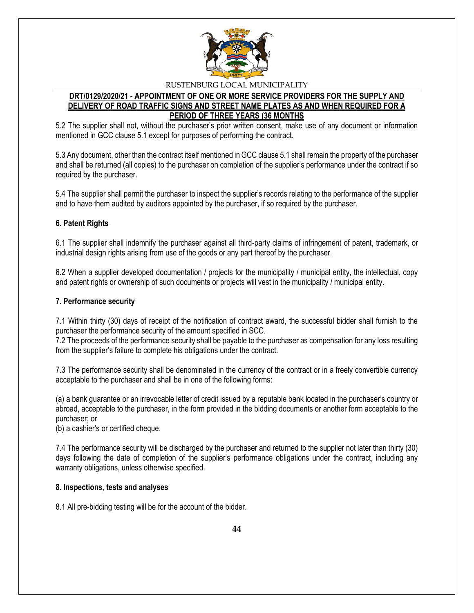

## **DRT/0129/2020/21 - APPOINTMENT OF ONE OR MORE SERVICE PROVIDERS FOR THE SUPPLY AND DELIVERY OF ROAD TRAFFIC SIGNS AND STREET NAME PLATES AS AND WHEN REQUIRED FOR A PERIOD OF THREE YEARS (36 MONTHS**

5.2 The supplier shall not, without the purchaser's prior written consent, make use of any document or information mentioned in GCC clause 5.1 except for purposes of performing the contract.

5.3 Any document, other than the contract itself mentioned in GCC clause 5.1 shall remain the property of the purchaser and shall be returned (all copies) to the purchaser on completion of the supplier's performance under the contract if so required by the purchaser.

5.4 The supplier shall permit the purchaser to inspect the supplier's records relating to the performance of the supplier and to have them audited by auditors appointed by the purchaser, if so required by the purchaser.

## **6. Patent Rights**

6.1 The supplier shall indemnify the purchaser against all third-party claims of infringement of patent, trademark, or industrial design rights arising from use of the goods or any part thereof by the purchaser.

6.2 When a supplier developed documentation / projects for the municipality / municipal entity, the intellectual, copy and patent rights or ownership of such documents or projects will vest in the municipality / municipal entity.

## **7. Performance security**

7.1 Within thirty (30) days of receipt of the notification of contract award, the successful bidder shall furnish to the purchaser the performance security of the amount specified in SCC.

7.2 The proceeds of the performance security shall be payable to the purchaser as compensation for any loss resulting from the supplier's failure to complete his obligations under the contract.

7.3 The performance security shall be denominated in the currency of the contract or in a freely convertible currency acceptable to the purchaser and shall be in one of the following forms:

(a) a bank guarantee or an irrevocable letter of credit issued by a reputable bank located in the purchaser's country or abroad, acceptable to the purchaser, in the form provided in the bidding documents or another form acceptable to the purchaser; or

(b) a cashier's or certified cheque.

7.4 The performance security will be discharged by the purchaser and returned to the supplier not later than thirty (30) days following the date of completion of the supplier's performance obligations under the contract, including any warranty obligations, unless otherwise specified.

## **8. Inspections, tests and analyses**

8.1 All pre-bidding testing will be for the account of the bidder.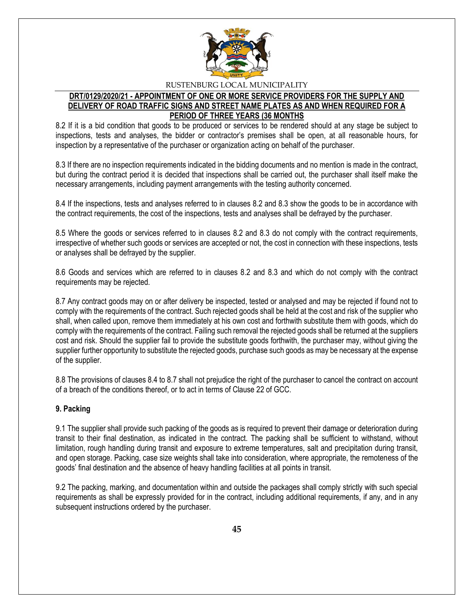

# **DRT/0129/2020/21 - APPOINTMENT OF ONE OR MORE SERVICE PROVIDERS FOR THE SUPPLY AND DELIVERY OF ROAD TRAFFIC SIGNS AND STREET NAME PLATES AS AND WHEN REQUIRED FOR A PERIOD OF THREE YEARS (36 MONTHS**

8.2 If it is a bid condition that goods to be produced or services to be rendered should at any stage be subject to inspections, tests and analyses, the bidder or contractor's premises shall be open, at all reasonable hours, for inspection by a representative of the purchaser or organization acting on behalf of the purchaser.

8.3 If there are no inspection requirements indicated in the bidding documents and no mention is made in the contract, but during the contract period it is decided that inspections shall be carried out, the purchaser shall itself make the necessary arrangements, including payment arrangements with the testing authority concerned.

8.4 If the inspections, tests and analyses referred to in clauses 8.2 and 8.3 show the goods to be in accordance with the contract requirements, the cost of the inspections, tests and analyses shall be defrayed by the purchaser.

8.5 Where the goods or services referred to in clauses 8.2 and 8.3 do not comply with the contract requirements, irrespective of whether such goods or services are accepted or not, the cost in connection with these inspections, tests or analyses shall be defrayed by the supplier.

8.6 Goods and services which are referred to in clauses 8.2 and 8.3 and which do not comply with the contract requirements may be rejected.

8.7 Any contract goods may on or after delivery be inspected, tested or analysed and may be rejected if found not to comply with the requirements of the contract. Such rejected goods shall be held at the cost and risk of the supplier who shall, when called upon, remove them immediately at his own cost and forthwith substitute them with goods, which do comply with the requirements of the contract. Failing such removal the rejected goods shall be returned at the suppliers cost and risk. Should the supplier fail to provide the substitute goods forthwith, the purchaser may, without giving the supplier further opportunity to substitute the rejected goods, purchase such goods as may be necessary at the expense of the supplier.

8.8 The provisions of clauses 8.4 to 8.7 shall not prejudice the right of the purchaser to cancel the contract on account of a breach of the conditions thereof, or to act in terms of Clause 22 of GCC.

# **9. Packing**

9.1 The supplier shall provide such packing of the goods as is required to prevent their damage or deterioration during transit to their final destination, as indicated in the contract. The packing shall be sufficient to withstand, without limitation, rough handling during transit and exposure to extreme temperatures, salt and precipitation during transit, and open storage. Packing, case size weights shall take into consideration, where appropriate, the remoteness of the goods' final destination and the absence of heavy handling facilities at all points in transit.

9.2 The packing, marking, and documentation within and outside the packages shall comply strictly with such special requirements as shall be expressly provided for in the contract, including additional requirements, if any, and in any subsequent instructions ordered by the purchaser.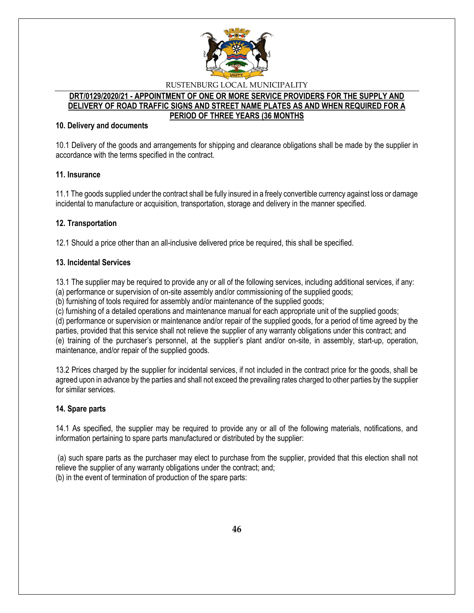

## **DRT/0129/2020/21 - APPOINTMENT OF ONE OR MORE SERVICE PROVIDERS FOR THE SUPPLY AND DELIVERY OF ROAD TRAFFIC SIGNS AND STREET NAME PLATES AS AND WHEN REQUIRED FOR A PERIOD OF THREE YEARS (36 MONTHS**

## **10. Delivery and documents**

10.1 Delivery of the goods and arrangements for shipping and clearance obligations shall be made by the supplier in accordance with the terms specified in the contract.

## **11. Insurance**

11.1 The goods supplied under the contract shall be fully insured in a freely convertible currency against loss or damage incidental to manufacture or acquisition, transportation, storage and delivery in the manner specified.

# **12. Transportation**

12.1 Should a price other than an all-inclusive delivered price be required, this shall be specified.

## **13. Incidental Services**

13.1 The supplier may be required to provide any or all of the following services, including additional services, if any:

(a) performance or supervision of on-site assembly and/or commissioning of the supplied goods;

(b) furnishing of tools required for assembly and/or maintenance of the supplied goods;

(c) furnishing of a detailed operations and maintenance manual for each appropriate unit of the supplied goods;

(d) performance or supervision or maintenance and/or repair of the supplied goods, for a period of time agreed by the parties, provided that this service shall not relieve the supplier of any warranty obligations under this contract; and

(e) training of the purchaser's personnel, at the supplier's plant and/or on-site, in assembly, start-up, operation, maintenance, and/or repair of the supplied goods.

13.2 Prices charged by the supplier for incidental services, if not included in the contract price for the goods, shall be agreed upon in advance by the parties and shall not exceed the prevailing rates charged to other parties by the supplier for similar services.

# **14. Spare parts**

14.1 As specified, the supplier may be required to provide any or all of the following materials, notifications, and information pertaining to spare parts manufactured or distributed by the supplier:

(a) such spare parts as the purchaser may elect to purchase from the supplier, provided that this election shall not relieve the supplier of any warranty obligations under the contract; and; (b) in the event of termination of production of the spare parts: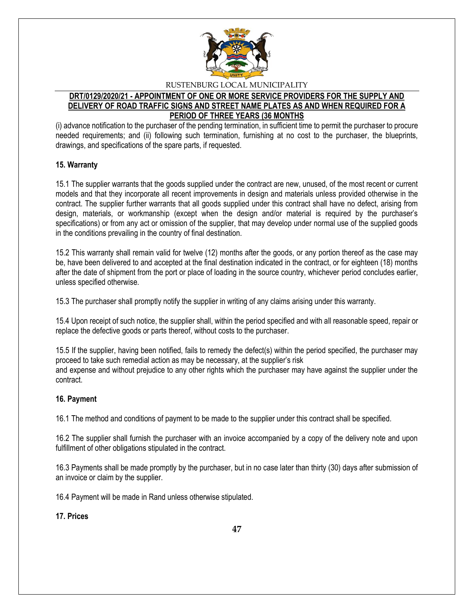

# **DRT/0129/2020/21 - APPOINTMENT OF ONE OR MORE SERVICE PROVIDERS FOR THE SUPPLY AND DELIVERY OF ROAD TRAFFIC SIGNS AND STREET NAME PLATES AS AND WHEN REQUIRED FOR A PERIOD OF THREE YEARS (36 MONTHS**

(i) advance notification to the purchaser of the pending termination, in sufficient time to permit the purchaser to procure needed requirements; and (ii) following such termination, furnishing at no cost to the purchaser, the blueprints, drawings, and specifications of the spare parts, if requested.

## **15. Warranty**

15.1 The supplier warrants that the goods supplied under the contract are new, unused, of the most recent or current models and that they incorporate all recent improvements in design and materials unless provided otherwise in the contract. The supplier further warrants that all goods supplied under this contract shall have no defect, arising from design, materials, or workmanship (except when the design and/or material is required by the purchaser's specifications) or from any act or omission of the supplier, that may develop under normal use of the supplied goods in the conditions prevailing in the country of final destination.

15.2 This warranty shall remain valid for twelve (12) months after the goods, or any portion thereof as the case may be, have been delivered to and accepted at the final destination indicated in the contract, or for eighteen (18) months after the date of shipment from the port or place of loading in the source country, whichever period concludes earlier, unless specified otherwise.

15.3 The purchaser shall promptly notify the supplier in writing of any claims arising under this warranty.

15.4 Upon receipt of such notice, the supplier shall, within the period specified and with all reasonable speed, repair or replace the defective goods or parts thereof, without costs to the purchaser.

15.5 If the supplier, having been notified, fails to remedy the defect(s) within the period specified, the purchaser may proceed to take such remedial action as may be necessary, at the supplier's risk and expense and without prejudice to any other rights which the purchaser may have against the supplier under the contract.

# **16. Payment**

16.1 The method and conditions of payment to be made to the supplier under this contract shall be specified.

16.2 The supplier shall furnish the purchaser with an invoice accompanied by a copy of the delivery note and upon fulfillment of other obligations stipulated in the contract.

16.3 Payments shall be made promptly by the purchaser, but in no case later than thirty (30) days after submission of an invoice or claim by the supplier.

16.4 Payment will be made in Rand unless otherwise stipulated.

**17. Prices**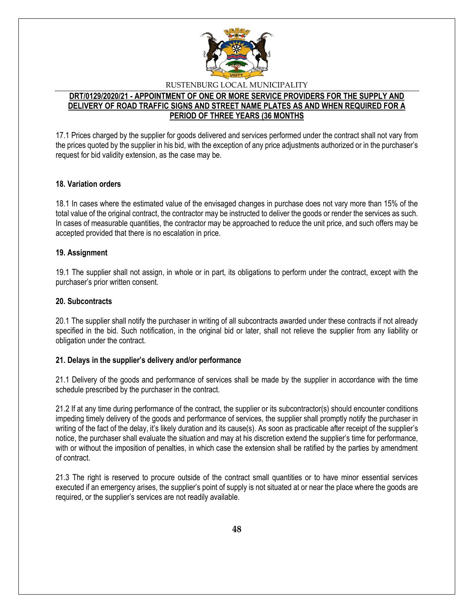

## **DRT/0129/2020/21 - APPOINTMENT OF ONE OR MORE SERVICE PROVIDERS FOR THE SUPPLY AND DELIVERY OF ROAD TRAFFIC SIGNS AND STREET NAME PLATES AS AND WHEN REQUIRED FOR A PERIOD OF THREE YEARS (36 MONTHS**

17.1 Prices charged by the supplier for goods delivered and services performed under the contract shall not vary from the prices quoted by the supplier in his bid, with the exception of any price adjustments authorized or in the purchaser's request for bid validity extension, as the case may be.

## **18. Variation orders**

18.1 In cases where the estimated value of the envisaged changes in purchase does not vary more than 15% of the total value of the original contract, the contractor may be instructed to deliver the goods or render the services as such. In cases of measurable quantities, the contractor may be approached to reduce the unit price, and such offers may be accepted provided that there is no escalation in price.

## **19. Assignment**

19.1 The supplier shall not assign, in whole or in part, its obligations to perform under the contract, except with the purchaser's prior written consent.

## **20. Subcontracts**

20.1 The supplier shall notify the purchaser in writing of all subcontracts awarded under these contracts if not already specified in the bid. Such notification, in the original bid or later, shall not relieve the supplier from any liability or obligation under the contract.

## **21. Delays in the supplier's delivery and/or performance**

21.1 Delivery of the goods and performance of services shall be made by the supplier in accordance with the time schedule prescribed by the purchaser in the contract.

21.2 If at any time during performance of the contract, the supplier or its subcontractor(s) should encounter conditions impeding timely delivery of the goods and performance of services, the supplier shall promptly notify the purchaser in writing of the fact of the delay, it's likely duration and its cause(s). As soon as practicable after receipt of the supplier's notice, the purchaser shall evaluate the situation and may at his discretion extend the supplier's time for performance, with or without the imposition of penalties, in which case the extension shall be ratified by the parties by amendment of contract.

21.3 The right is reserved to procure outside of the contract small quantities or to have minor essential services executed if an emergency arises, the supplier's point of supply is not situated at or near the place where the goods are required, or the supplier's services are not readily available.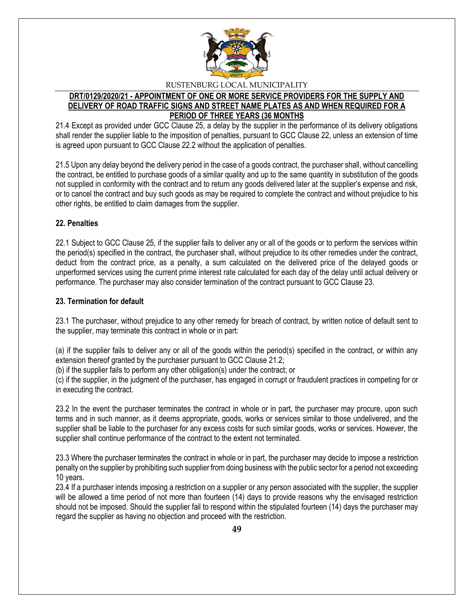

# **DRT/0129/2020/21 - APPOINTMENT OF ONE OR MORE SERVICE PROVIDERS FOR THE SUPPLY AND DELIVERY OF ROAD TRAFFIC SIGNS AND STREET NAME PLATES AS AND WHEN REQUIRED FOR A PERIOD OF THREE YEARS (36 MONTHS**

21.4 Except as provided under GCC Clause 25, a delay by the supplier in the performance of its delivery obligations shall render the supplier liable to the imposition of penalties, pursuant to GCC Clause 22, unless an extension of time is agreed upon pursuant to GCC Clause 22.2 without the application of penalties.

21.5 Upon any delay beyond the delivery period in the case of a goods contract, the purchaser shall, without cancelling the contract, be entitled to purchase goods of a similar quality and up to the same quantity in substitution of the goods not supplied in conformity with the contract and to return any goods delivered later at the supplier's expense and risk, or to cancel the contract and buy such goods as may be required to complete the contract and without prejudice to his other rights, be entitled to claim damages from the supplier.

# **22. Penalties**

22.1 Subject to GCC Clause 25, if the supplier fails to deliver any or all of the goods or to perform the services within the period(s) specified in the contract, the purchaser shall, without prejudice to its other remedies under the contract, deduct from the contract price, as a penalty, a sum calculated on the delivered price of the delayed goods or unperformed services using the current prime interest rate calculated for each day of the delay until actual delivery or performance. The purchaser may also consider termination of the contract pursuant to GCC Clause 23.

## **23. Termination for default**

23.1 The purchaser, without prejudice to any other remedy for breach of contract, by written notice of default sent to the supplier, may terminate this contract in whole or in part:

(a) if the supplier fails to deliver any or all of the goods within the period(s) specified in the contract, or within any extension thereof granted by the purchaser pursuant to GCC Clause 21.2;

(b) if the supplier fails to perform any other obligation(s) under the contract; or

(c) if the supplier, in the judgment of the purchaser, has engaged in corrupt or fraudulent practices in competing for or in executing the contract.

23.2 In the event the purchaser terminates the contract in whole or in part, the purchaser may procure, upon such terms and in such manner, as it deems appropriate, goods, works or services similar to those undelivered, and the supplier shall be liable to the purchaser for any excess costs for such similar goods, works or services. However, the supplier shall continue performance of the contract to the extent not terminated.

23.3 Where the purchaser terminates the contract in whole or in part, the purchaser may decide to impose a restriction penalty on the supplier by prohibiting such supplier from doing business with the public sector for a period not exceeding 10 years.

23.4 If a purchaser intends imposing a restriction on a supplier or any person associated with the supplier, the supplier will be allowed a time period of not more than fourteen (14) days to provide reasons why the envisaged restriction should not be imposed. Should the supplier fail to respond within the stipulated fourteen (14) days the purchaser may regard the supplier as having no objection and proceed with the restriction.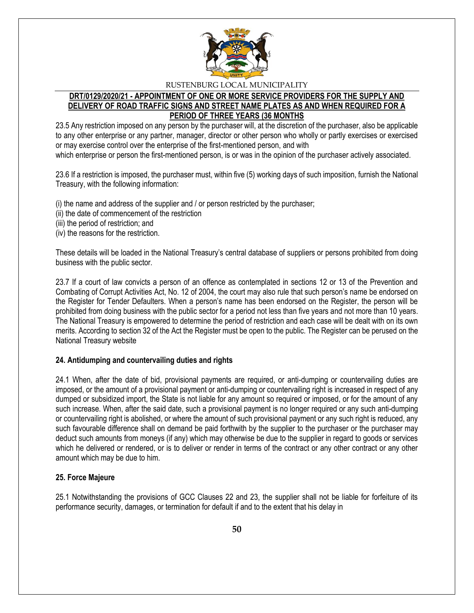

# **DRT/0129/2020/21 - APPOINTMENT OF ONE OR MORE SERVICE PROVIDERS FOR THE SUPPLY AND DELIVERY OF ROAD TRAFFIC SIGNS AND STREET NAME PLATES AS AND WHEN REQUIRED FOR A PERIOD OF THREE YEARS (36 MONTHS**

23.5 Any restriction imposed on any person by the purchaser will, at the discretion of the purchaser, also be applicable to any other enterprise or any partner, manager, director or other person who wholly or partly exercises or exercised or may exercise control over the enterprise of the first-mentioned person, and with

which enterprise or person the first-mentioned person, is or was in the opinion of the purchaser actively associated.

23.6 If a restriction is imposed, the purchaser must, within five (5) working days of such imposition, furnish the National Treasury, with the following information:

(i) the name and address of the supplier and / or person restricted by the purchaser;

- (ii) the date of commencement of the restriction
- (iii) the period of restriction; and
- (iv) the reasons for the restriction.

These details will be loaded in the National Treasury's central database of suppliers or persons prohibited from doing business with the public sector.

23.7 If a court of law convicts a person of an offence as contemplated in sections 12 or 13 of the Prevention and Combating of Corrupt Activities Act, No. 12 of 2004, the court may also rule that such person's name be endorsed on the Register for Tender Defaulters. When a person's name has been endorsed on the Register, the person will be prohibited from doing business with the public sector for a period not less than five years and not more than 10 years. The National Treasury is empowered to determine the period of restriction and each case will be dealt with on its own merits. According to section 32 of the Act the Register must be open to the public. The Register can be perused on the National Treasury website

# **24. Antidumping and countervailing duties and rights**

24.1 When, after the date of bid, provisional payments are required, or anti-dumping or countervailing duties are imposed, or the amount of a provisional payment or anti-dumping or countervailing right is increased in respect of any dumped or subsidized import, the State is not liable for any amount so required or imposed, or for the amount of any such increase. When, after the said date, such a provisional payment is no longer required or any such anti-dumping or countervailing right is abolished, or where the amount of such provisional payment or any such right is reduced, any such favourable difference shall on demand be paid forthwith by the supplier to the purchaser or the purchaser may deduct such amounts from moneys (if any) which may otherwise be due to the supplier in regard to goods or services which he delivered or rendered, or is to deliver or render in terms of the contract or any other contract or any other amount which may be due to him.

# **25. Force Majeure**

25.1 Notwithstanding the provisions of GCC Clauses 22 and 23, the supplier shall not be liable for forfeiture of its performance security, damages, or termination for default if and to the extent that his delay in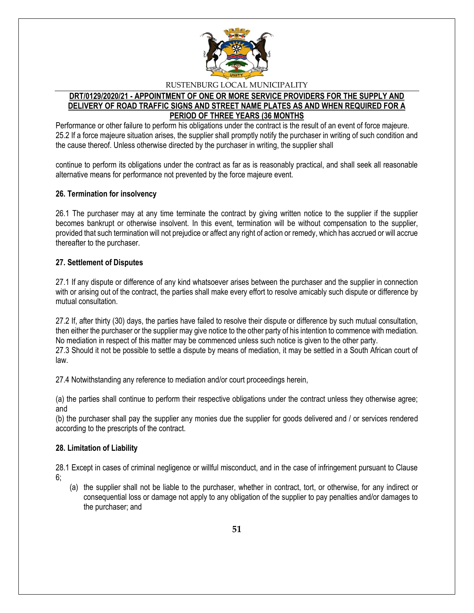

# **DRT/0129/2020/21 - APPOINTMENT OF ONE OR MORE SERVICE PROVIDERS FOR THE SUPPLY AND DELIVERY OF ROAD TRAFFIC SIGNS AND STREET NAME PLATES AS AND WHEN REQUIRED FOR A PERIOD OF THREE YEARS (36 MONTHS**

Performance or other failure to perform his obligations under the contract is the result of an event of force majeure. 25.2 If a force majeure situation arises, the supplier shall promptly notify the purchaser in writing of such condition and the cause thereof. Unless otherwise directed by the purchaser in writing, the supplier shall

continue to perform its obligations under the contract as far as is reasonably practical, and shall seek all reasonable alternative means for performance not prevented by the force majeure event.

## **26. Termination for insolvency**

26.1 The purchaser may at any time terminate the contract by giving written notice to the supplier if the supplier becomes bankrupt or otherwise insolvent. In this event, termination will be without compensation to the supplier, provided that such termination will not prejudice or affect any right of action or remedy, which has accrued or will accrue thereafter to the purchaser.

## **27. Settlement of Disputes**

27.1 If any dispute or difference of any kind whatsoever arises between the purchaser and the supplier in connection with or arising out of the contract, the parties shall make every effort to resolve amicably such dispute or difference by mutual consultation.

27.2 If, after thirty (30) days, the parties have failed to resolve their dispute or difference by such mutual consultation, then either the purchaser or the supplier may give notice to the other party of his intention to commence with mediation. No mediation in respect of this matter may be commenced unless such notice is given to the other party. 27.3 Should it not be possible to settle a dispute by means of mediation, it may be settled in a South African court of law.

27.4 Notwithstanding any reference to mediation and/or court proceedings herein,

(a) the parties shall continue to perform their respective obligations under the contract unless they otherwise agree; and

(b) the purchaser shall pay the supplier any monies due the supplier for goods delivered and / or services rendered according to the prescripts of the contract.

## **28. Limitation of Liability**

28.1 Except in cases of criminal negligence or willful misconduct, and in the case of infringement pursuant to Clause 6;

(a) the supplier shall not be liable to the purchaser, whether in contract, tort, or otherwise, for any indirect or consequential loss or damage not apply to any obligation of the supplier to pay penalties and/or damages to the purchaser; and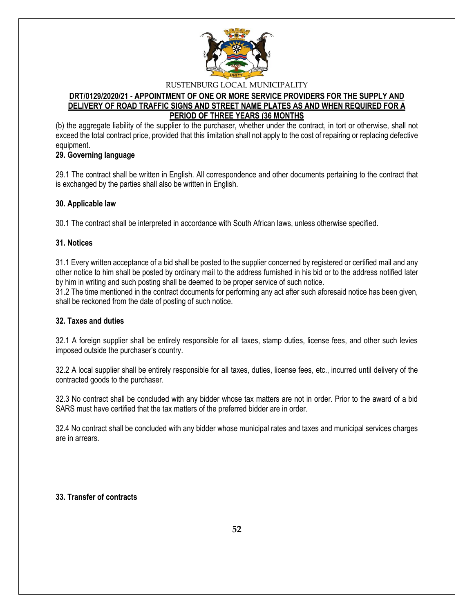

# **DRT/0129/2020/21 - APPOINTMENT OF ONE OR MORE SERVICE PROVIDERS FOR THE SUPPLY AND DELIVERY OF ROAD TRAFFIC SIGNS AND STREET NAME PLATES AS AND WHEN REQUIRED FOR A PERIOD OF THREE YEARS (36 MONTHS**

(b) the aggregate liability of the supplier to the purchaser, whether under the contract, in tort or otherwise, shall not exceed the total contract price, provided that this limitation shall not apply to the cost of repairing or replacing defective equipment.

# **29. Governing language**

29.1 The contract shall be written in English. All correspondence and other documents pertaining to the contract that is exchanged by the parties shall also be written in English.

## **30. Applicable law**

30.1 The contract shall be interpreted in accordance with South African laws, unless otherwise specified.

## **31. Notices**

31.1 Every written acceptance of a bid shall be posted to the supplier concerned by registered or certified mail and any other notice to him shall be posted by ordinary mail to the address furnished in his bid or to the address notified later by him in writing and such posting shall be deemed to be proper service of such notice.

31.2 The time mentioned in the contract documents for performing any act after such aforesaid notice has been given, shall be reckoned from the date of posting of such notice.

# **32. Taxes and duties**

32.1 A foreign supplier shall be entirely responsible for all taxes, stamp duties, license fees, and other such levies imposed outside the purchaser's country.

32.2 A local supplier shall be entirely responsible for all taxes, duties, license fees, etc., incurred until delivery of the contracted goods to the purchaser.

32.3 No contract shall be concluded with any bidder whose tax matters are not in order. Prior to the award of a bid SARS must have certified that the tax matters of the preferred bidder are in order.

32.4 No contract shall be concluded with any bidder whose municipal rates and taxes and municipal services charges are in arrears.

## **33. Transfer of contracts**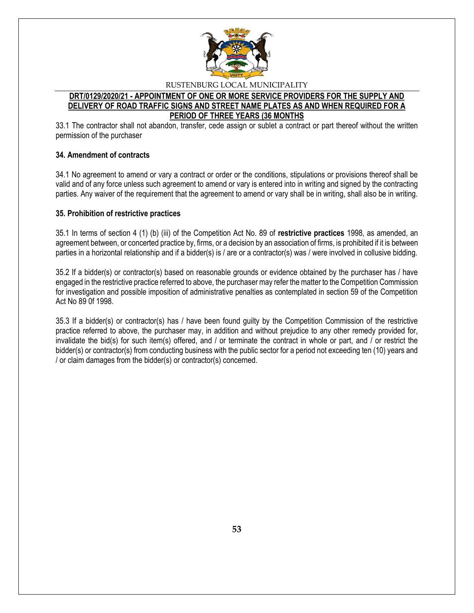

## **DRT/0129/2020/21 - APPOINTMENT OF ONE OR MORE SERVICE PROVIDERS FOR THE SUPPLY AND DELIVERY OF ROAD TRAFFIC SIGNS AND STREET NAME PLATES AS AND WHEN REQUIRED FOR A PERIOD OF THREE YEARS (36 MONTHS**

33.1 The contractor shall not abandon, transfer, cede assign or sublet a contract or part thereof without the written permission of the purchaser

## **34. Amendment of contracts**

34.1 No agreement to amend or vary a contract or order or the conditions, stipulations or provisions thereof shall be valid and of any force unless such agreement to amend or vary is entered into in writing and signed by the contracting parties. Any waiver of the requirement that the agreement to amend or vary shall be in writing, shall also be in writing.

## **35. Prohibition of restrictive practices**

35.1 In terms of section 4 (1) (b) (iii) of the Competition Act No. 89 of **restrictive practices** 1998, as amended, an agreement between, or concerted practice by, firms, or a decision by an association of firms, is prohibited if it is between parties in a horizontal relationship and if a bidder(s) is / are or a contractor(s) was / were involved in collusive bidding.

35.2 If a bidder(s) or contractor(s) based on reasonable grounds or evidence obtained by the purchaser has / have engaged in the restrictive practice referred to above, the purchaser may refer the matter to the Competition Commission for investigation and possible imposition of administrative penalties as contemplated in section 59 of the Competition Act No 89 0f 1998.

35.3 If a bidder(s) or contractor(s) has / have been found guilty by the Competition Commission of the restrictive practice referred to above, the purchaser may, in addition and without prejudice to any other remedy provided for, invalidate the bid(s) for such item(s) offered, and / or terminate the contract in whole or part, and / or restrict the bidder(s) or contractor(s) from conducting business with the public sector for a period not exceeding ten (10) years and / or claim damages from the bidder(s) or contractor(s) concerned.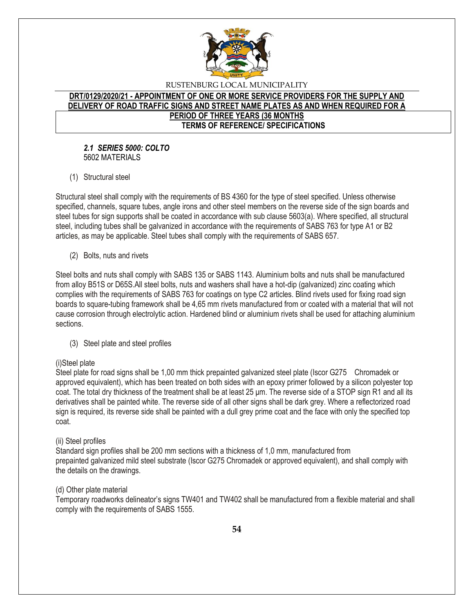

## **DRT/0129/2020/21 - APPOINTMENT OF ONE OR MORE SERVICE PROVIDERS FOR THE SUPPLY AND DELIVERY OF ROAD TRAFFIC SIGNS AND STREET NAME PLATES AS AND WHEN REQUIRED FOR A PERIOD OF THREE YEARS (36 MONTHS TERMS OF REFERENCE/ SPECIFICATIONS**

## *2.1 SERIES 5000: COLTO* 5602 MATERIALS

(1) Structural steel

Structural steel shall comply with the requirements of BS 4360 for the type of steel specified. Unless otherwise specified, channels, square tubes, angle irons and other steel members on the reverse side of the sign boards and steel tubes for sign supports shall be coated in accordance with sub clause 5603(a). Where specified, all structural steel, including tubes shall be galvanized in accordance with the requirements of SABS 763 for type A1 or B2 articles, as may be applicable. Steel tubes shall comply with the requirements of SABS 657.

(2) Bolts, nuts and rivets

Steel bolts and nuts shall comply with SABS 135 or SABS 1143. Aluminium bolts and nuts shall be manufactured from alloy B51S or D65S.All steel bolts, nuts and washers shall have a hot-dip (galvanized) zinc coating which complies with the requirements of SABS 763 for coatings on type C2 articles. Blind rivets used for fixing road sign boards to square-tubing framework shall be 4,65 mm rivets manufactured from or coated with a material that will not cause corrosion through electrolytic action. Hardened blind or aluminium rivets shall be used for attaching aluminium sections.

(3) Steel plate and steel profiles

# (i)Steel plate

Steel plate for road signs shall be 1,00 mm thick prepainted galvanized steel plate (Iscor G275 Chromadek or approved equivalent), which has been treated on both sides with an epoxy primer followed by a silicon polyester top coat. The total dry thickness of the treatment shall be at least 25 μm. The reverse side of a STOP sign R1 and all its derivatives shall be painted white. The reverse side of all other signs shall be dark grey. Where a reflectorized road sign is required, its reverse side shall be painted with a dull grey prime coat and the face with only the specified top coat.

## (ii) Steel profiles

Standard sign profiles shall be 200 mm sections with a thickness of 1,0 mm, manufactured from prepainted galvanized mild steel substrate (Iscor G275 Chromadek or approved equivalent), and shall comply with the details on the drawings.

## (d) Other plate material

Temporary roadworks delineator's signs TW401 and TW402 shall be manufactured from a flexible material and shall comply with the requirements of SABS 1555.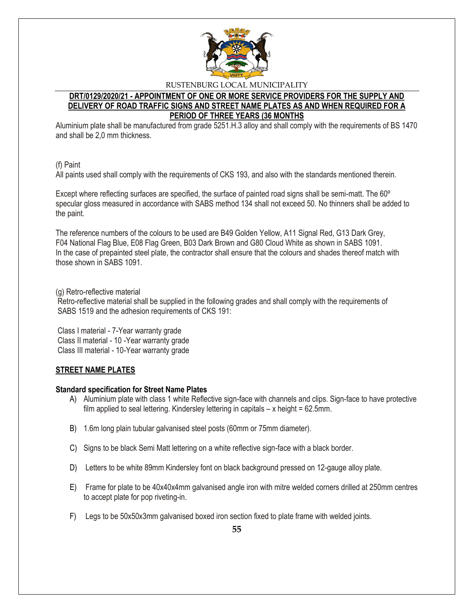

# **DRT/0129/2020/21 - APPOINTMENT OF ONE OR MORE SERVICE PROVIDERS FOR THE SUPPLY AND DELIVERY OF ROAD TRAFFIC SIGNS AND STREET NAME PLATES AS AND WHEN REQUIRED FOR A PERIOD OF THREE YEARS (36 MONTHS**

Aluminium plate shall be manufactured from grade 5251.H.3 alloy and shall comply with the requirements of BS 1470 and shall be 2,0 mm thickness.

## (f) Paint

All paints used shall comply with the requirements of CKS 193, and also with the standards mentioned therein.

Except where reflecting surfaces are specified, the surface of painted road signs shall be semi-matt. The 60º specular gloss measured in accordance with SABS method 134 shall not exceed 50. No thinners shall be added to the paint.

The reference numbers of the colours to be used are B49 Golden Yellow, A11 Signal Red, G13 Dark Grey, F04 National Flag Blue, E08 Flag Green, B03 Dark Brown and G80 Cloud White as shown in SABS 1091. In the case of prepainted steel plate, the contractor shall ensure that the colours and shades thereof match with those shown in SABS 1091.

## (g) Retro-reflective material

Retro-reflective material shall be supplied in the following grades and shall comply with the requirements of SABS 1519 and the adhesion requirements of CKS 191:

Class I material - 7-Year warranty grade Class II material - 10 -Year warranty grade Class III material - 10-Year warranty grade

# **STREET NAME PLATES**

## **Standard specification for Street Name Plates**

- A) Aluminium plate with class 1 white Reflective sign-face with channels and clips. Sign-face to have protective film applied to seal lettering. Kindersley lettering in capitals  $-x$  height = 62.5mm.
- B) 1.6m long plain tubular galvanised steel posts (60mm or 75mm diameter).
- C) Signs to be black Semi Matt lettering on a white reflective sign-face with a black border.
- D) Letters to be white 89mm Kindersley font on black background pressed on 12-gauge alloy plate.
- E) Frame for plate to be 40x40x4mm galvanised angle iron with mitre welded corners drilled at 250mm centres to accept plate for pop riveting-in.
- F) Legs to be 50x50x3mm galvanised boxed iron section fixed to plate frame with welded joints.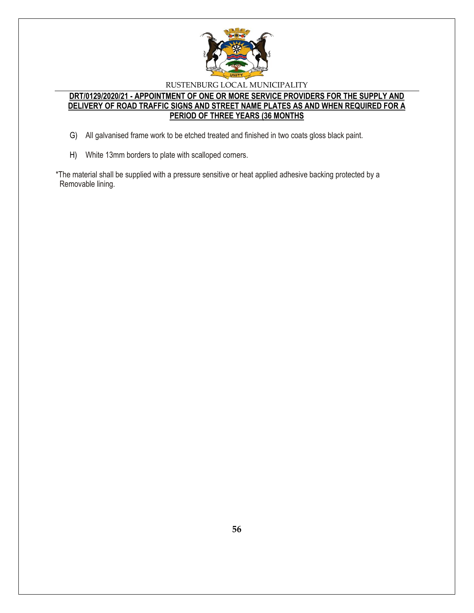

# **DRT/0129/2020/21 - APPOINTMENT OF ONE OR MORE SERVICE PROVIDERS FOR THE SUPPLY AND DELIVERY OF ROAD TRAFFIC SIGNS AND STREET NAME PLATES AS AND WHEN REQUIRED FOR A PERIOD OF THREE YEARS (36 MONTHS**

- G) All galvanised frame work to be etched treated and finished in two coats gloss black paint.
- H) White 13mm borders to plate with scalloped corners.
- \*The material shall be supplied with a pressure sensitive or heat applied adhesive backing protected by a Removable lining.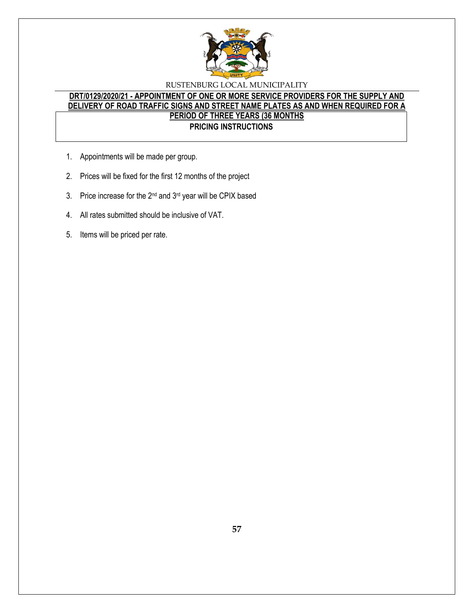

# **DRT/0129/2020/21 - APPOINTMENT OF ONE OR MORE SERVICE PROVIDERS FOR THE SUPPLY AND DELIVERY OF ROAD TRAFFIC SIGNS AND STREET NAME PLATES AS AND WHEN REQUIRED FOR A PERIOD OF THREE YEARS (36 MONTHS PRICING INSTRUCTIONS**

- 1. Appointments will be made per group.
- 2. Prices will be fixed for the first 12 months of the project
- 3. Price increase for the 2<sup>nd</sup> and 3<sup>rd</sup> year will be CPIX based
- 4. All rates submitted should be inclusive of VAT.
- 5. Items will be priced per rate.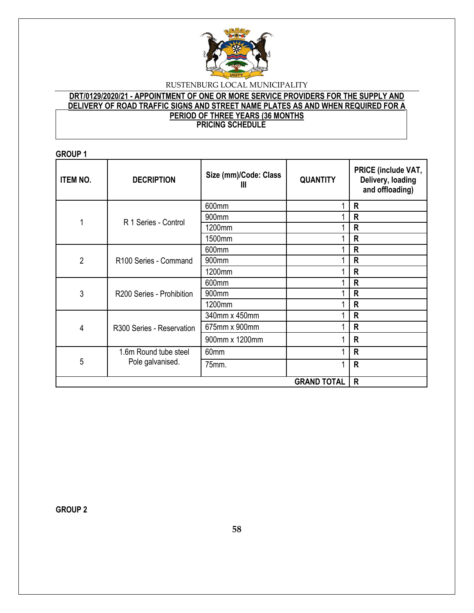

# **DRT/0129/2020/21 - APPOINTMENT OF ONE OR MORE SERVICE PROVIDERS FOR THE SUPPLY AND DELIVERY OF ROAD TRAFFIC SIGNS AND STREET NAME PLATES AS AND WHEN REQUIRED FOR A PERIOD OF THREE YEARS (36 MONTHS PRICING SCHEDULE**

## **GROUP 1**

| <b>ITEM NO.</b> | <b>DECRIPTION</b>         | Size (mm)/Code: Class<br>Ш | <b>QUANTITY</b> | PRICE (include VAT,<br>Delivery, loading<br>and offloading) |
|-----------------|---------------------------|----------------------------|-----------------|-------------------------------------------------------------|
|                 |                           | 600mm                      |                 | R                                                           |
| 1               | R 1 Series - Control      | 900mm                      |                 | R                                                           |
|                 |                           | 1200mm                     |                 | R                                                           |
|                 |                           | 1500mm                     |                 | R                                                           |
|                 |                           | 600mm                      |                 | R                                                           |
| $\overline{2}$  | R100 Series - Command     | 900mm                      |                 | R                                                           |
|                 |                           | 1200mm                     |                 | R                                                           |
|                 | R200 Series - Prohibition | 600mm                      |                 | R                                                           |
| 3               |                           | 900mm                      |                 | R                                                           |
|                 |                           | 1200mm                     |                 | R                                                           |
|                 | R300 Series - Reservation | 340mm x 450mm              |                 | R                                                           |
| 4               |                           | 675mm x 900mm              |                 | R                                                           |
|                 |                           | 900mm x 1200mm             |                 | R                                                           |
| 5               | 1.6m Round tube steel     | 60mm                       |                 | R                                                           |
|                 | Pole galvanised.          | 75mm.                      |                 | $\mathsf R$                                                 |
|                 | $\mathsf{R}$              |                            |                 |                                                             |

**GROUP 2**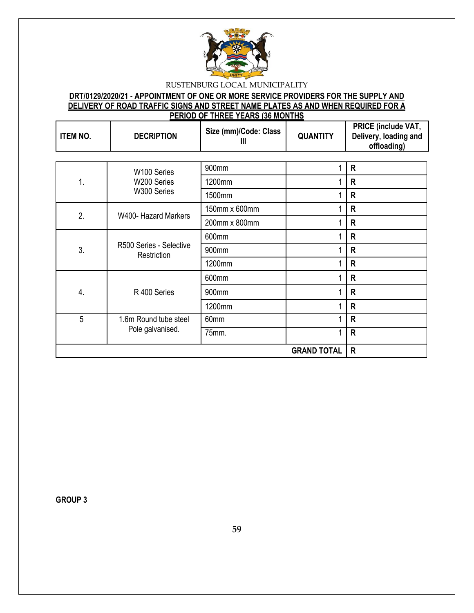

# **DRT/0129/2020/21 - APPOINTMENT OF ONE OR MORE SERVICE PROVIDERS FOR THE SUPPLY AND DELIVERY OF ROAD TRAFFIC SIGNS AND STREET NAME PLATES AS AND WHEN REQUIRED FOR A PERIOD OF THREE YEARS (36 MONTHS**

| <b>ITEM NO.</b> | <b>DECRIPTION</b>                         | Size (mm)/Code: Class<br>Ш | <b>QUANTITY</b> | PRICE (include VAT,<br>Delivery, loading and<br>offloading) |
|-----------------|-------------------------------------------|----------------------------|-----------------|-------------------------------------------------------------|
|                 |                                           |                            |                 |                                                             |
|                 | W100 Series                               | 900mm                      |                 | $\mathsf{R}$                                                |
| 1.              | W200 Series                               | 1200mm                     |                 | $\mathsf{R}$                                                |
|                 | W300 Series                               | 1500mm                     |                 | $\mathsf{R}$                                                |
| 2.              | W400- Hazard Markers                      | 150mm x 600mm              |                 | $\mathsf{R}$                                                |
|                 |                                           | 200mm x 800mm              |                 | $\mathsf{R}$                                                |
|                 | R500 Series - Selective<br>Restriction    | 600mm                      |                 | $\mathsf{R}$                                                |
| 3.              |                                           | 900mm                      | 1               | $\mathsf{R}$                                                |
|                 |                                           | 1200mm                     |                 | $\mathsf{R}$                                                |
|                 | R 400 Series                              | 600mm                      |                 | $\mathsf{R}$                                                |
| 4.              |                                           | 900mm                      |                 | $\mathsf{R}$                                                |
|                 |                                           | 1200mm                     |                 | $\mathsf{R}$                                                |
| 5               | 1.6m Round tube steel<br>Pole galvanised. | 60mm                       |                 | $\mathsf{R}$                                                |
|                 |                                           | 75mm.                      |                 | $\mathsf{R}$                                                |
|                 | $\mathsf{R}$                              |                            |                 |                                                             |

**GROUP 3**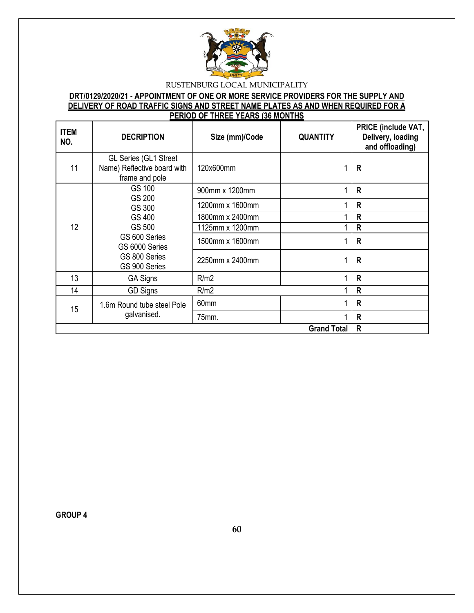

# **DRT/0129/2020/21 - APPOINTMENT OF ONE OR MORE SERVICE PROVIDERS FOR THE SUPPLY AND DELIVERY OF ROAD TRAFFIC SIGNS AND STREET NAME PLATES AS AND WHEN REQUIRED FOR A PERIOD OF THREE YEARS (36 MONTHS**

| <b>ITEM</b><br>NO. | <b>DECRIPTION</b><br>Size (mm)/Code<br><b>QUANTITY</b>                                                    |                 | PRICE (include VAT,<br>Delivery, loading<br>and offloading) |              |
|--------------------|-----------------------------------------------------------------------------------------------------------|-----------------|-------------------------------------------------------------|--------------|
| 11                 | GL Series (GL1 Street<br>Name) Reflective board with<br>frame and pole                                    | 120x600mm       |                                                             | R            |
|                    | GS 100                                                                                                    | 900mm x 1200mm  |                                                             | R            |
|                    | GS 200<br>GS 300<br>GS 400<br>GS 500<br>GS 600 Series<br>GS 6000 Series<br>GS 800 Series<br>GS 900 Series | 1200mm x 1600mm |                                                             | R            |
|                    |                                                                                                           | 1800mm x 2400mm |                                                             | $\mathsf R$  |
| 12                 |                                                                                                           | 1125mm x 1200mm |                                                             | $\mathsf{R}$ |
|                    |                                                                                                           | 1500mm x 1600mm |                                                             | $\mathsf{R}$ |
|                    |                                                                                                           | 2250mm x 2400mm |                                                             | $\mathsf{R}$ |
| 13                 | <b>GA Signs</b>                                                                                           | R/m2            |                                                             | $\mathsf{R}$ |
| 14                 | GD Signs                                                                                                  | R/m2            |                                                             | R            |
| 15                 | 1.6m Round tube steel Pole<br>galvanised.                                                                 | 60mm            |                                                             | R            |
|                    |                                                                                                           | 75mm.           |                                                             | $\mathsf{R}$ |
| <b>Grand Total</b> |                                                                                                           |                 |                                                             | $\mathsf{R}$ |

**GROUP 4**